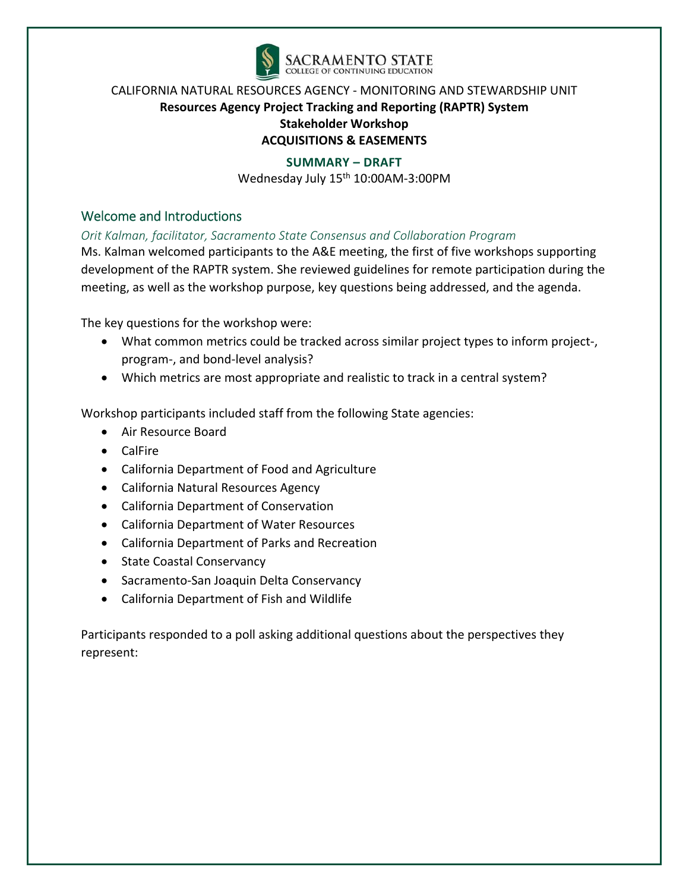

#### **SUMMARY – DRAFT**

Wednesday July 15<sup>th</sup> 10:00AM-3:00PM

## Welcome and Introductions

#### *Orit Kalman, facilitator, Sacramento State Consensus and Collaboration Program*

Ms. Kalman welcomed participants to the A&E meeting, the first of five workshops supporting development of the RAPTR system. She reviewed guidelines for remote participation during the meeting, as well as the workshop purpose, key questions being addressed, and the agenda.

The key questions for the workshop were:

- What common metrics could be tracked across similar project types to inform project-, program‐, and bond‐level analysis?
- Which metrics are most appropriate and realistic to track in a central system?

Workshop participants included staff from the following State agencies:

- Air Resource Board
- CalFire
- California Department of Food and Agriculture
- California Natural Resources Agency
- California Department of Conservation
- California Department of Water Resources
- California Department of Parks and Recreation
- State Coastal Conservancy
- Sacramento-San Joaquin Delta Conservancy
- California Department of Fish and Wildlife

Participants responded to a poll asking additional questions about the perspectives they represent: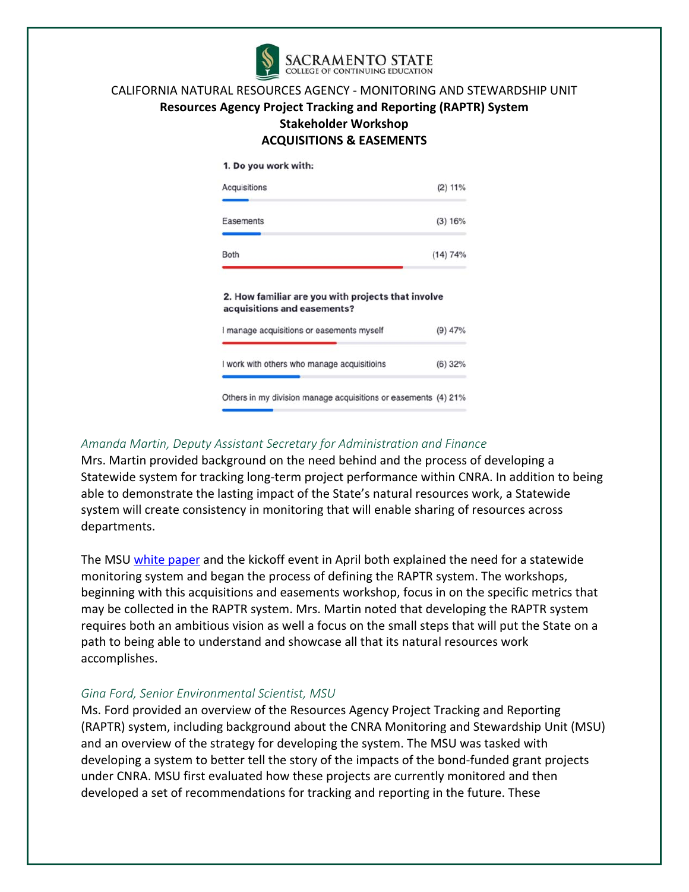

#### 1. Do you work with:

| Acquisitions<br>(2) 11%                                                           |           |  |  |  |  |
|-----------------------------------------------------------------------------------|-----------|--|--|--|--|
| Easements                                                                         | (3) 16%   |  |  |  |  |
| <b>Both</b>                                                                       | (14) 74%  |  |  |  |  |
|                                                                                   |           |  |  |  |  |
| 2. How familiar are you with projects that involve<br>acquisitions and easements? |           |  |  |  |  |
| I manage acquisitions or easements myself                                         | $(9)$ 47% |  |  |  |  |
| I work with others who manage acquisitioins                                       | $(6)$ 32% |  |  |  |  |

#### *Amanda Martin, Deputy Assistant Secretary for Administration and Finance*

Mrs. Martin provided background on the need behind and the process of developing a Statewide system for tracking long‐term project performance within CNRA. In addition to being able to demonstrate the lasting impact of the State's natural resources work, a Statewide system will create consistency in monitoring that will enable sharing of resources across departments.

The MSU white paper and the kickoff event in April both explained the need for a statewide monitoring system and began the process of defining the RAPTR system. The workshops, beginning with this acquisitions and easements workshop, focus in on the specific metrics that may be collected in the RAPTR system. Mrs. Martin noted that developing the RAPTR system requires both an ambitious vision as well a focus on the small steps that will put the State on a path to being able to understand and showcase all that its natural resources work accomplishes.

#### *Gina Ford, Senior Environmental Scientist, MSU*

Ms. Ford provided an overview of the Resources Agency Project Tracking and Reporting (RAPTR) system, including background about the CNRA Monitoring and Stewardship Unit (MSU) and an overview of the strategy for developing the system. The MSU was tasked with developing a system to better tell the story of the impacts of the bond‐funded grant projects under CNRA. MSU first evaluated how these projects are currently monitored and then developed a set of recommendations for tracking and reporting in the future. These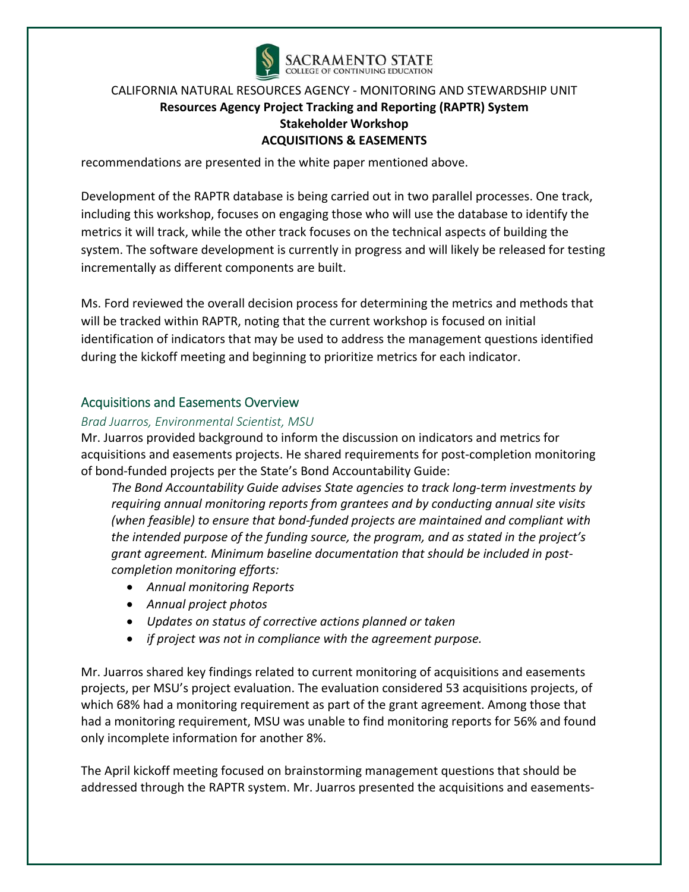

recommendations are presented in the white paper mentioned above.

Development of the RAPTR database is being carried out in two parallel processes. One track, including this workshop, focuses on engaging those who will use the database to identify the metrics it will track, while the other track focuses on the technical aspects of building the system. The software development is currently in progress and will likely be released for testing incrementally as different components are built.

Ms. Ford reviewed the overall decision process for determining the metrics and methods that will be tracked within RAPTR, noting that the current workshop is focused on initial identification of indicators that may be used to address the management questions identified during the kickoff meeting and beginning to prioritize metrics for each indicator.

## Acquisitions and Easements Overview

#### *Brad Juarros, Environmental Scientist, MSU*

Mr. Juarros provided background to inform the discussion on indicators and metrics for acquisitions and easements projects. He shared requirements for post‐completion monitoring of bond‐funded projects per the State's Bond Accountability Guide:

*The Bond Accountability Guide advises State agencies to track long‐term investments by requiring annual monitoring reports from grantees and by conducting annual site visits (when feasible) to ensure that bond‐funded projects are maintained and compliant with the intended purpose of the funding source, the program, and as stated in the project's grant agreement. Minimum baseline documentation that should be included in post‐ completion monitoring efforts:* 

- *Annual monitoring Reports*
- *Annual project photos*
- *Updates on status of corrective actions planned or taken*
- *if project was not in compliance with the agreement purpose.*

Mr. Juarros shared key findings related to current monitoring of acquisitions and easements projects, per MSU's project evaluation. The evaluation considered 53 acquisitions projects, of which 68% had a monitoring requirement as part of the grant agreement. Among those that had a monitoring requirement, MSU was unable to find monitoring reports for 56% and found only incomplete information for another 8%.

The April kickoff meeting focused on brainstorming management questions that should be addressed through the RAPTR system. Mr. Juarros presented the acquisitions and easements‐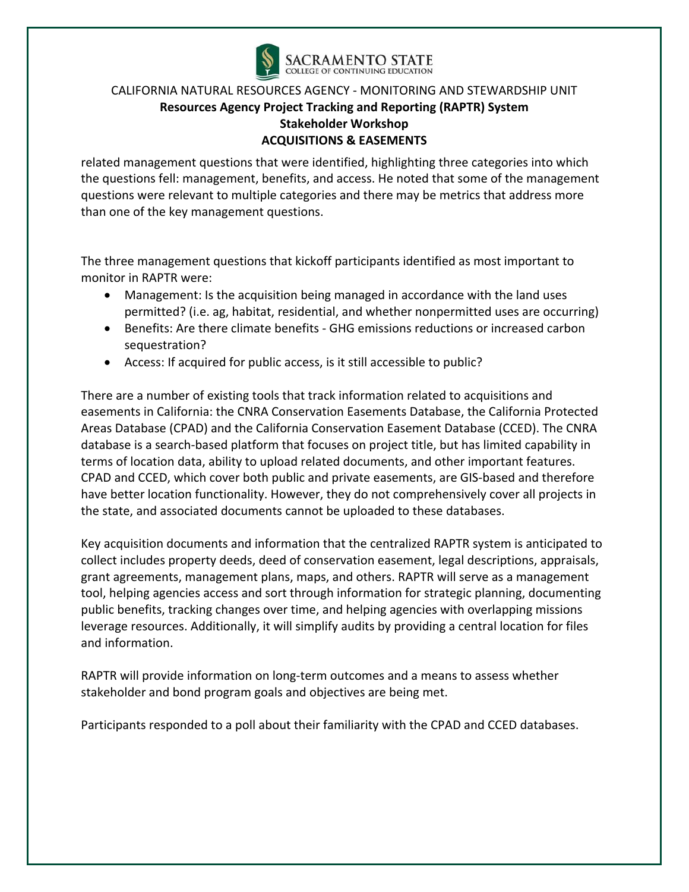

related management questions that were identified, highlighting three categories into which the questions fell: management, benefits, and access. He noted that some of the management questions were relevant to multiple categories and there may be metrics that address more than one of the key management questions.

The three management questions that kickoff participants identified as most important to monitor in RAPTR were:

- Management: Is the acquisition being managed in accordance with the land uses permitted? (i.e. ag, habitat, residential, and whether nonpermitted uses are occurring)
- Benefits: Are there climate benefits GHG emissions reductions or increased carbon sequestration?
- Access: If acquired for public access, is it still accessible to public?

There are a number of existing tools that track information related to acquisitions and easements in California: the CNRA Conservation Easements Database, the California Protected Areas Database (CPAD) and the California Conservation Easement Database (CCED). The CNRA database is a search‐based platform that focuses on project title, but has limited capability in terms of location data, ability to upload related documents, and other important features. CPAD and CCED, which cover both public and private easements, are GIS‐based and therefore have better location functionality. However, they do not comprehensively cover all projects in the state, and associated documents cannot be uploaded to these databases.

Key acquisition documents and information that the centralized RAPTR system is anticipated to collect includes property deeds, deed of conservation easement, legal descriptions, appraisals, grant agreements, management plans, maps, and others. RAPTR will serve as a management tool, helping agencies access and sort through information for strategic planning, documenting public benefits, tracking changes over time, and helping agencies with overlapping missions leverage resources. Additionally, it will simplify audits by providing a central location for files and information.

RAPTR will provide information on long‐term outcomes and a means to assess whether stakeholder and bond program goals and objectives are being met.

Participants responded to a poll about their familiarity with the CPAD and CCED databases.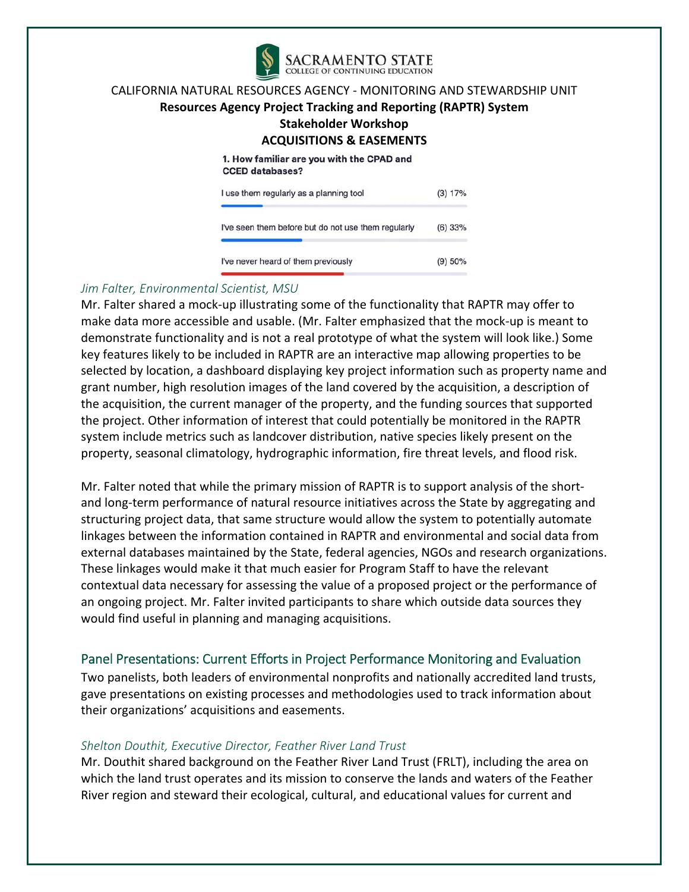

## **Resources Agency Project Tracking and Reporting (RAPTR) System**

**Stakeholder Workshop** 

#### **ACQUISITIONS & EASEMENTS**

1. How familiar are you with the CPAD and **CCED** databases?

| I use them regularly as a planning tool             | (3) 17%   |
|-----------------------------------------------------|-----------|
| I've seen them before but do not use them regularly | $(6)$ 33% |
| I've never heard of them previously                 | (9) 50%   |

#### *Jim Falter, Environmental Scientist, MSU*

Mr. Falter shared a mock-up illustrating some of the functionality that RAPTR may offer to make data more accessible and usable. (Mr. Falter emphasized that the mock‐up is meant to demonstrate functionality and is not a real prototype of what the system will look like.) Some key features likely to be included in RAPTR are an interactive map allowing properties to be selected by location, a dashboard displaying key project information such as property name and grant number, high resolution images of the land covered by the acquisition, a description of the acquisition, the current manager of the property, and the funding sources that supported the project. Other information of interest that could potentially be monitored in the RAPTR system include metrics such as landcover distribution, native species likely present on the property, seasonal climatology, hydrographic information, fire threat levels, and flood risk.

Mr. Falter noted that while the primary mission of RAPTR is to support analysis of the short‐ and long‐term performance of natural resource initiatives across the State by aggregating and structuring project data, that same structure would allow the system to potentially automate linkages between the information contained in RAPTR and environmental and social data from external databases maintained by the State, federal agencies, NGOs and research organizations. These linkages would make it that much easier for Program Staff to have the relevant contextual data necessary for assessing the value of a proposed project or the performance of an ongoing project. Mr. Falter invited participants to share which outside data sources they would find useful in planning and managing acquisitions.

## Panel Presentations: Current Efforts in Project Performance Monitoring and Evaluation

Two panelists, both leaders of environmental nonprofits and nationally accredited land trusts, gave presentations on existing processes and methodologies used to track information about their organizations' acquisitions and easements.

#### *Shelton Douthit, Executive Director, Feather River Land Trust*

Mr. Douthit shared background on the Feather River Land Trust (FRLT), including the area on which the land trust operates and its mission to conserve the lands and waters of the Feather River region and steward their ecological, cultural, and educational values for current and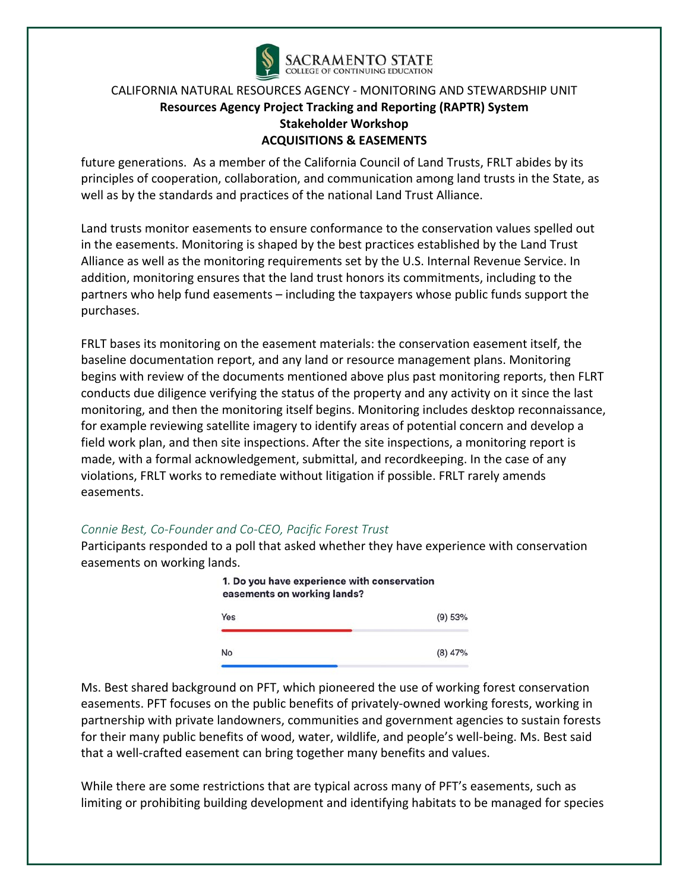

future generations. As a member of the California Council of Land Trusts, FRLT abides by its principles of cooperation, collaboration, and communication among land trusts in the State, as well as by the standards and practices of the national Land Trust Alliance.

Land trusts monitor easements to ensure conformance to the conservation values spelled out in the easements. Monitoring is shaped by the best practices established by the Land Trust Alliance as well as the monitoring requirements set by the U.S. Internal Revenue Service. In addition, monitoring ensures that the land trust honors its commitments, including to the partners who help fund easements – including the taxpayers whose public funds support the purchases.

FRLT bases its monitoring on the easement materials: the conservation easement itself, the baseline documentation report, and any land or resource management plans. Monitoring begins with review of the documents mentioned above plus past monitoring reports, then FLRT conducts due diligence verifying the status of the property and any activity on it since the last monitoring, and then the monitoring itself begins. Monitoring includes desktop reconnaissance, for example reviewing satellite imagery to identify areas of potential concern and develop a field work plan, and then site inspections. After the site inspections, a monitoring report is made, with a formal acknowledgement, submittal, and recordkeeping. In the case of any violations, FRLT works to remediate without litigation if possible. FRLT rarely amends easements.

#### *Connie Best, Co‐Founder and Co‐CEO, Pacific Forest Trust*

Participants responded to a poll that asked whether they have experience with conservation easements on working lands.



Ms. Best shared background on PFT, which pioneered the use of working forest conservation easements. PFT focuses on the public benefits of privately‐owned working forests, working in partnership with private landowners, communities and government agencies to sustain forests for their many public benefits of wood, water, wildlife, and people's well-being. Ms. Best said that a well-crafted easement can bring together many benefits and values.

While there are some restrictions that are typical across many of PFT's easements, such as limiting or prohibiting building development and identifying habitats to be managed for species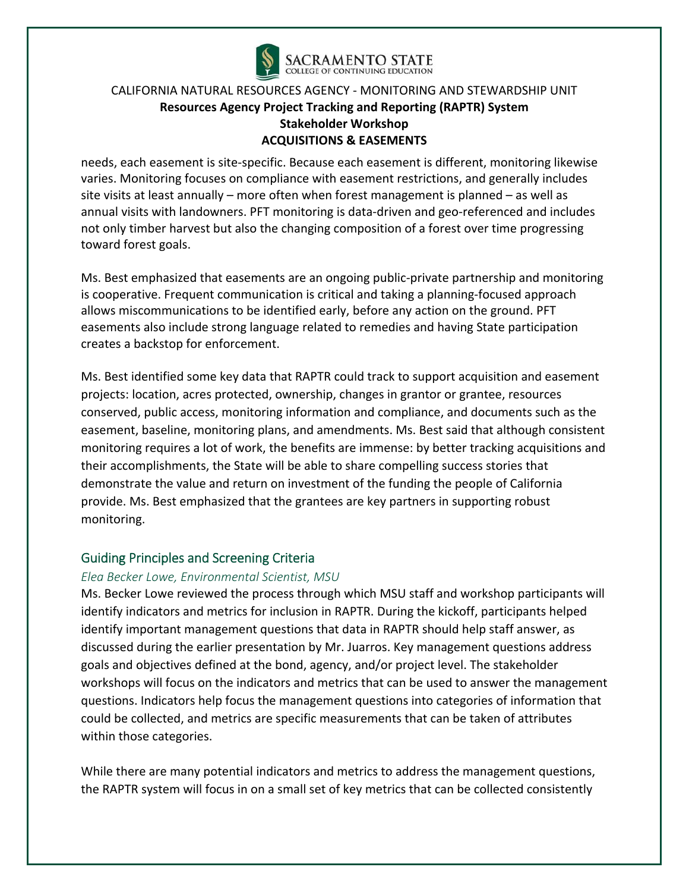

needs, each easement is site‐specific. Because each easement is different, monitoring likewise varies. Monitoring focuses on compliance with easement restrictions, and generally includes site visits at least annually – more often when forest management is planned – as well as annual visits with landowners. PFT monitoring is data‐driven and geo‐referenced and includes not only timber harvest but also the changing composition of a forest over time progressing toward forest goals.

Ms. Best emphasized that easements are an ongoing public‐private partnership and monitoring is cooperative. Frequent communication is critical and taking a planning-focused approach allows miscommunications to be identified early, before any action on the ground. PFT easements also include strong language related to remedies and having State participation creates a backstop for enforcement.

Ms. Best identified some key data that RAPTR could track to support acquisition and easement projects: location, acres protected, ownership, changes in grantor or grantee, resources conserved, public access, monitoring information and compliance, and documents such as the easement, baseline, monitoring plans, and amendments. Ms. Best said that although consistent monitoring requires a lot of work, the benefits are immense: by better tracking acquisitions and their accomplishments, the State will be able to share compelling success stories that demonstrate the value and return on investment of the funding the people of California provide. Ms. Best emphasized that the grantees are key partners in supporting robust monitoring.

#### Guiding Principles and Screening Criteria

#### *Elea Becker Lowe, Environmental Scientist, MSU*

Ms. Becker Lowe reviewed the process through which MSU staff and workshop participants will identify indicators and metrics for inclusion in RAPTR. During the kickoff, participants helped identify important management questions that data in RAPTR should help staff answer, as discussed during the earlier presentation by Mr. Juarros. Key management questions address goals and objectives defined at the bond, agency, and/or project level. The stakeholder workshops will focus on the indicators and metrics that can be used to answer the management questions. Indicators help focus the management questions into categories of information that could be collected, and metrics are specific measurements that can be taken of attributes within those categories.

While there are many potential indicators and metrics to address the management questions, the RAPTR system will focus in on a small set of key metrics that can be collected consistently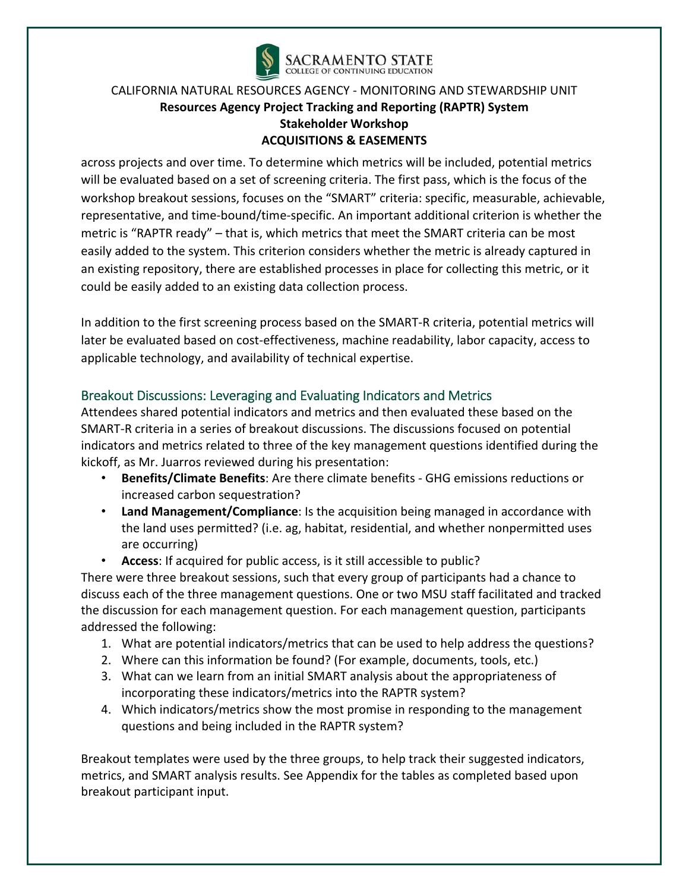

across projects and over time. To determine which metrics will be included, potential metrics will be evaluated based on a set of screening criteria. The first pass, which is the focus of the workshop breakout sessions, focuses on the "SMART" criteria: specific, measurable, achievable, representative, and time‐bound/time‐specific. An important additional criterion is whether the metric is "RAPTR ready" – that is, which metrics that meet the SMART criteria can be most easily added to the system. This criterion considers whether the metric is already captured in an existing repository, there are established processes in place for collecting this metric, or it could be easily added to an existing data collection process.

In addition to the first screening process based on the SMART‐R criteria, potential metrics will later be evaluated based on cost-effectiveness, machine readability, labor capacity, access to applicable technology, and availability of technical expertise.

# Breakout Discussions: Leveraging and Evaluating Indicators and Metrics

Attendees shared potential indicators and metrics and then evaluated these based on the SMART‐R criteria in a series of breakout discussions. The discussions focused on potential indicators and metrics related to three of the key management questions identified during the kickoff, as Mr. Juarros reviewed during his presentation:

- **Benefits/Climate Benefits**: Are there climate benefits ‐ GHG emissions reductions or increased carbon sequestration?
- **Land Management/Compliance**: Is the acquisition being managed in accordance with the land uses permitted? (i.e. ag, habitat, residential, and whether nonpermitted uses are occurring)
- **Access**: If acquired for public access, is it still accessible to public?

There were three breakout sessions, such that every group of participants had a chance to discuss each of the three management questions. One or two MSU staff facilitated and tracked the discussion for each management question. For each management question, participants addressed the following:

- 1. What are potential indicators/metrics that can be used to help address the questions?
- 2. Where can this information be found? (For example, documents, tools, etc.)
- 3. What can we learn from an initial SMART analysis about the appropriateness of incorporating these indicators/metrics into the RAPTR system?
- 4. Which indicators/metrics show the most promise in responding to the management questions and being included in the RAPTR system?

Breakout templates were used by the three groups, to help track their suggested indicators, metrics, and SMART analysis results. See Appendix for the tables as completed based upon breakout participant input.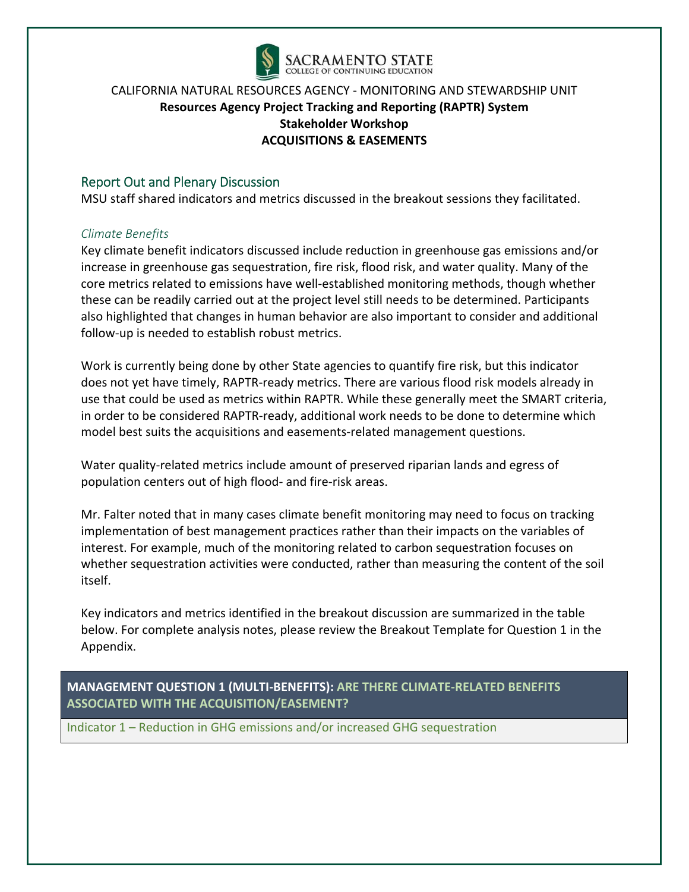

## Report Out and Plenary Discussion

MSU staff shared indicators and metrics discussed in the breakout sessions they facilitated.

#### *Climate Benefits*

Key climate benefit indicators discussed include reduction in greenhouse gas emissions and/or increase in greenhouse gas sequestration, fire risk, flood risk, and water quality. Many of the core metrics related to emissions have well‐established monitoring methods, though whether these can be readily carried out at the project level still needs to be determined. Participants also highlighted that changes in human behavior are also important to consider and additional follow‐up is needed to establish robust metrics.

Work is currently being done by other State agencies to quantify fire risk, but this indicator does not yet have timely, RAPTR‐ready metrics. There are various flood risk models already in use that could be used as metrics within RAPTR. While these generally meet the SMART criteria, in order to be considered RAPTR‐ready, additional work needs to be done to determine which model best suits the acquisitions and easements‐related management questions.

Water quality-related metrics include amount of preserved riparian lands and egress of population centers out of high flood‐ and fire‐risk areas.

Mr. Falter noted that in many cases climate benefit monitoring may need to focus on tracking implementation of best management practices rather than their impacts on the variables of interest. For example, much of the monitoring related to carbon sequestration focuses on whether sequestration activities were conducted, rather than measuring the content of the soil itself.

Key indicators and metrics identified in the breakout discussion are summarized in the table below. For complete analysis notes, please review the Breakout Template for Question 1 in the Appendix.

**MANAGEMENT QUESTION 1 (MULTI‐BENEFITS): ARE THERE CLIMATE‐RELATED BENEFITS ASSOCIATED WITH THE ACQUISITION/EASEMENT?**

Indicator 1 – Reduction in GHG emissions and/or increased GHG sequestration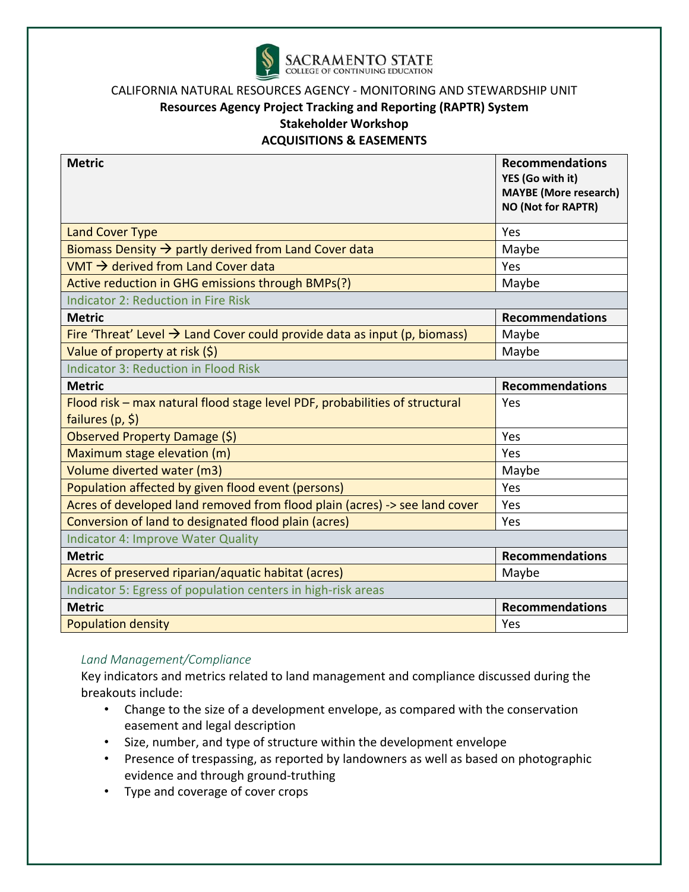

#### **Resources Agency Project Tracking and Reporting (RAPTR) System**

**Stakeholder Workshop** 

**ACQUISITIONS & EASEMENTS** 

| <b>Metric</b>                                                                                      | <b>Recommendations</b><br>YES (Go with it)<br><b>MAYBE</b> (More research)<br><b>NO (Not for RAPTR)</b> |
|----------------------------------------------------------------------------------------------------|---------------------------------------------------------------------------------------------------------|
| <b>Land Cover Type</b>                                                                             | Yes                                                                                                     |
| Biomass Density $\rightarrow$ partly derived from Land Cover data                                  | Maybe                                                                                                   |
| VMT $\rightarrow$ derived from Land Cover data                                                     | Yes                                                                                                     |
| Active reduction in GHG emissions through BMPs(?)                                                  | Maybe                                                                                                   |
| <b>Indicator 2: Reduction in Fire Risk</b>                                                         |                                                                                                         |
| <b>Metric</b>                                                                                      | <b>Recommendations</b>                                                                                  |
| Fire 'Threat' Level $\rightarrow$ Land Cover could provide data as input (p, biomass)              | Maybe                                                                                                   |
| Value of property at risk (\$)                                                                     | Maybe                                                                                                   |
| <b>Indicator 3: Reduction in Flood Risk</b>                                                        |                                                                                                         |
| <b>Metric</b>                                                                                      | <b>Recommendations</b>                                                                                  |
| Flood risk - max natural flood stage level PDF, probabilities of structural<br>failures $(p, \xi)$ | Yes                                                                                                     |
| Observed Property Damage (\$)                                                                      | Yes                                                                                                     |
| Maximum stage elevation (m)                                                                        | Yes                                                                                                     |
| Volume diverted water (m3)                                                                         | Maybe                                                                                                   |
| Population affected by given flood event (persons)                                                 | Yes                                                                                                     |
| Acres of developed land removed from flood plain (acres) -> see land cover                         | Yes                                                                                                     |
| Conversion of land to designated flood plain (acres)                                               | Yes                                                                                                     |
| <b>Indicator 4: Improve Water Quality</b>                                                          |                                                                                                         |
| <b>Metric</b>                                                                                      | <b>Recommendations</b>                                                                                  |
| Acres of preserved riparian/aquatic habitat (acres)                                                | Maybe                                                                                                   |
| Indicator 5: Egress of population centers in high-risk areas                                       |                                                                                                         |
| <b>Metric</b>                                                                                      | <b>Recommendations</b>                                                                                  |
| <b>Population density</b>                                                                          | Yes                                                                                                     |

#### *Land Management/Compliance*

Key indicators and metrics related to land management and compliance discussed during the breakouts include:

- Change to the size of a development envelope, as compared with the conservation easement and legal description
- Size, number, and type of structure within the development envelope
- Presence of trespassing, as reported by landowners as well as based on photographic evidence and through ground‐truthing
- Type and coverage of cover crops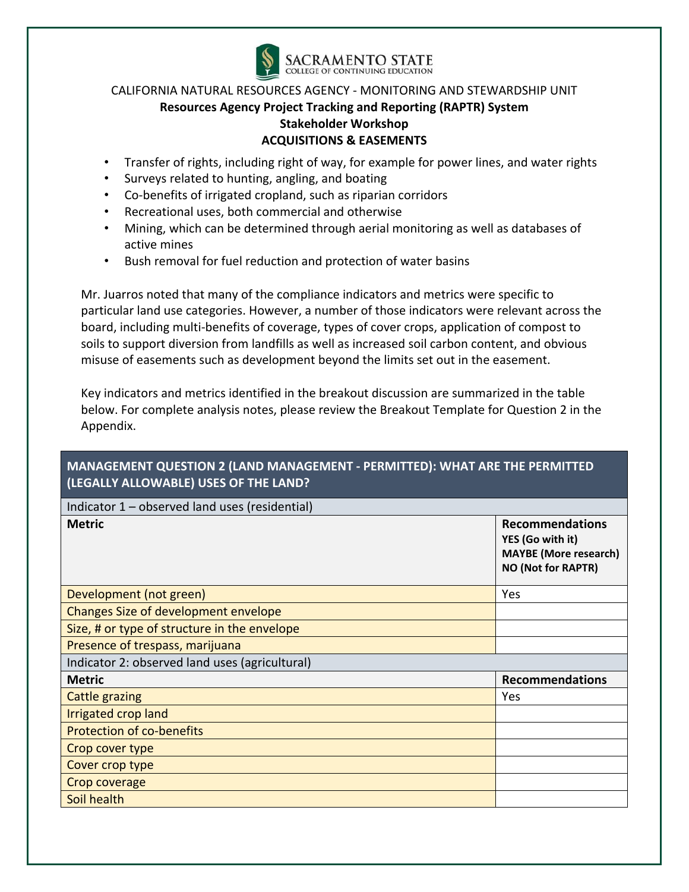

- Transfer of rights, including right of way, for example for power lines, and water rights
- Surveys related to hunting, angling, and boating
- Co-benefits of irrigated cropland, such as riparian corridors
- Recreational uses, both commercial and otherwise
- Mining, which can be determined through aerial monitoring as well as databases of active mines
- Bush removal for fuel reduction and protection of water basins

Mr. Juarros noted that many of the compliance indicators and metrics were specific to particular land use categories. However, a number of those indicators were relevant across the board, including multi‐benefits of coverage, types of cover crops, application of compost to soils to support diversion from landfills as well as increased soil carbon content, and obvious misuse of easements such as development beyond the limits set out in the easement.

Key indicators and metrics identified in the breakout discussion are summarized in the table below. For complete analysis notes, please review the Breakout Template for Question 2 in the Appendix.

# **MANAGEMENT QUESTION 2 (LAND MANAGEMENT ‐ PERMITTED): WHAT ARE THE PERMITTED (LEGALLY ALLOWABLE) USES OF THE LAND?**

| Indicator 1 – observed land uses (residential) |                                                                                                         |  |  |  |  |  |
|------------------------------------------------|---------------------------------------------------------------------------------------------------------|--|--|--|--|--|
| <b>Metric</b>                                  | <b>Recommendations</b><br>YES (Go with it)<br><b>MAYBE</b> (More research)<br><b>NO (Not for RAPTR)</b> |  |  |  |  |  |
| Development (not green)                        | Yes                                                                                                     |  |  |  |  |  |
| Changes Size of development envelope           |                                                                                                         |  |  |  |  |  |
| Size, # or type of structure in the envelope   |                                                                                                         |  |  |  |  |  |
| Presence of trespass, marijuana                |                                                                                                         |  |  |  |  |  |
| Indicator 2: observed land uses (agricultural) |                                                                                                         |  |  |  |  |  |
| <b>Metric</b>                                  | <b>Recommendations</b>                                                                                  |  |  |  |  |  |
| <b>Cattle grazing</b>                          | Yes                                                                                                     |  |  |  |  |  |
| Irrigated crop land                            |                                                                                                         |  |  |  |  |  |
| <b>Protection of co-benefits</b>               |                                                                                                         |  |  |  |  |  |
| Crop cover type                                |                                                                                                         |  |  |  |  |  |
| Cover crop type                                |                                                                                                         |  |  |  |  |  |
| Crop coverage                                  |                                                                                                         |  |  |  |  |  |
| Soil health                                    |                                                                                                         |  |  |  |  |  |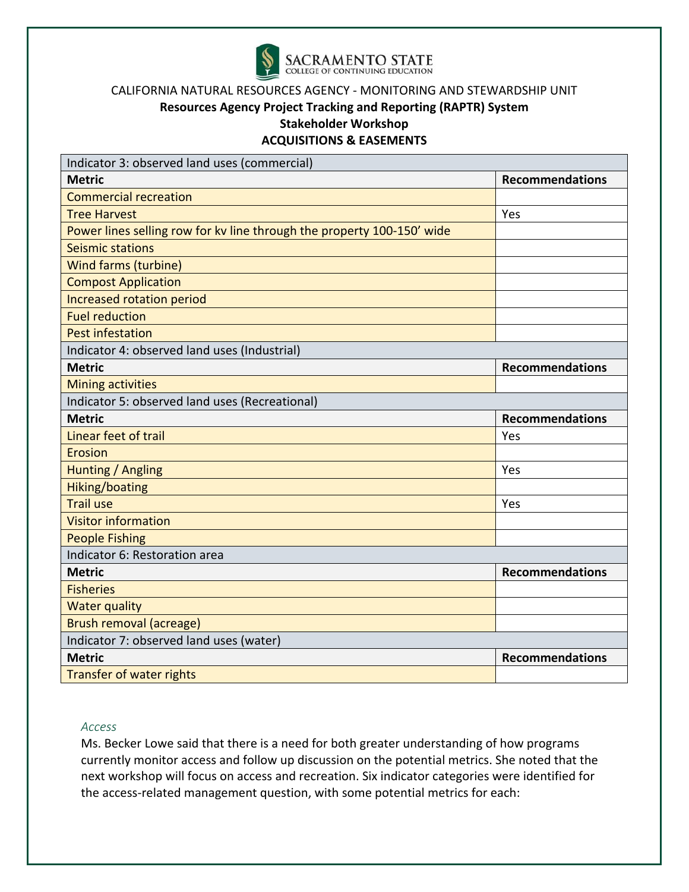

# **Resources Agency Project Tracking and Reporting (RAPTR) System**

**Stakeholder Workshop** 

**ACQUISITIONS & EASEMENTS** 

| Indicator 3: observed land uses (commercial)                           |                        |
|------------------------------------------------------------------------|------------------------|
| <b>Metric</b>                                                          | <b>Recommendations</b> |
| <b>Commercial recreation</b>                                           |                        |
| <b>Tree Harvest</b>                                                    | Yes                    |
| Power lines selling row for kv line through the property 100-150' wide |                        |
| Seismic stations                                                       |                        |
| <b>Wind farms (turbine)</b>                                            |                        |
| <b>Compost Application</b>                                             |                        |
| Increased rotation period                                              |                        |
| <b>Fuel reduction</b>                                                  |                        |
| <b>Pest infestation</b>                                                |                        |
| Indicator 4: observed land uses (Industrial)                           |                        |
| <b>Metric</b>                                                          | <b>Recommendations</b> |
| <b>Mining activities</b>                                               |                        |
| Indicator 5: observed land uses (Recreational)                         |                        |
| <b>Metric</b>                                                          | <b>Recommendations</b> |
| Linear feet of trail                                                   | Yes                    |
| <b>Erosion</b>                                                         |                        |
| Hunting / Angling                                                      | Yes                    |
| Hiking/boating                                                         |                        |
| <b>Trail use</b>                                                       | Yes                    |
| <b>Visitor information</b>                                             |                        |
| <b>People Fishing</b>                                                  |                        |
| Indicator 6: Restoration area                                          |                        |
| <b>Metric</b>                                                          | <b>Recommendations</b> |
| <b>Fisheries</b>                                                       |                        |
| <b>Water quality</b>                                                   |                        |
| <b>Brush removal (acreage)</b>                                         |                        |
| Indicator 7: observed land uses (water)                                |                        |
| <b>Metric</b>                                                          | <b>Recommendations</b> |
| <b>Transfer of water rights</b>                                        |                        |

#### *Access*

Ms. Becker Lowe said that there is a need for both greater understanding of how programs currently monitor access and follow up discussion on the potential metrics. She noted that the next workshop will focus on access and recreation. Six indicator categories were identified for the access‐related management question, with some potential metrics for each: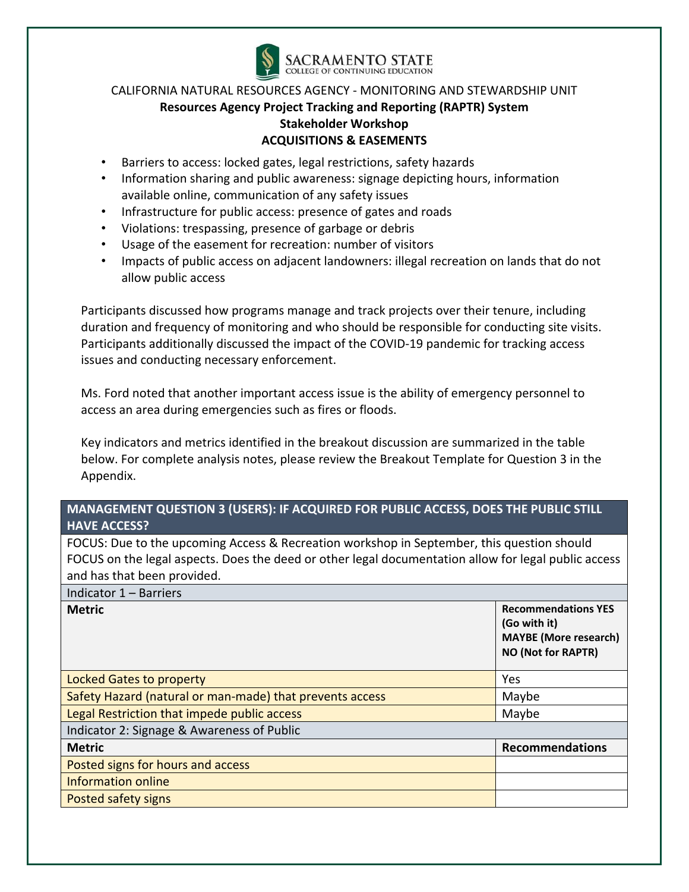

- Barriers to access: locked gates, legal restrictions, safety hazards
- Information sharing and public awareness: signage depicting hours, information available online, communication of any safety issues
- Infrastructure for public access: presence of gates and roads
- Violations: trespassing, presence of garbage or debris
- Usage of the easement for recreation: number of visitors
- Impacts of public access on adjacent landowners: illegal recreation on lands that do not allow public access

Participants discussed how programs manage and track projects over their tenure, including duration and frequency of monitoring and who should be responsible for conducting site visits. Participants additionally discussed the impact of the COVID‐19 pandemic for tracking access issues and conducting necessary enforcement.

Ms. Ford noted that another important access issue is the ability of emergency personnel to access an area during emergencies such as fires or floods.

Key indicators and metrics identified in the breakout discussion are summarized in the table below. For complete analysis notes, please review the Breakout Template for Question 3 in the Appendix.

## **MANAGEMENT QUESTION 3 (USERS): IF ACQUIRED FOR PUBLIC ACCESS, DOES THE PUBLIC STILL HAVE ACCESS?**

FOCUS: Due to the upcoming Access & Recreation workshop in September, this question should FOCUS on the legal aspects. Does the deed or other legal documentation allow for legal public access and has that been provided.

| Indicator 1 - Barriers                                   |                                                                                                         |  |
|----------------------------------------------------------|---------------------------------------------------------------------------------------------------------|--|
| <b>Metric</b>                                            | <b>Recommendations YES</b><br>(Go with it)<br><b>MAYBE</b> (More research)<br><b>NO (Not for RAPTR)</b> |  |
| Locked Gates to property                                 | Yes                                                                                                     |  |
| Safety Hazard (natural or man-made) that prevents access | Maybe                                                                                                   |  |
| Legal Restriction that impede public access              | Maybe                                                                                                   |  |
| Indicator 2: Signage & Awareness of Public               |                                                                                                         |  |
| <b>Metric</b>                                            | <b>Recommendations</b>                                                                                  |  |
| Posted signs for hours and access                        |                                                                                                         |  |
| <b>Information online</b>                                |                                                                                                         |  |
| Posted safety signs                                      |                                                                                                         |  |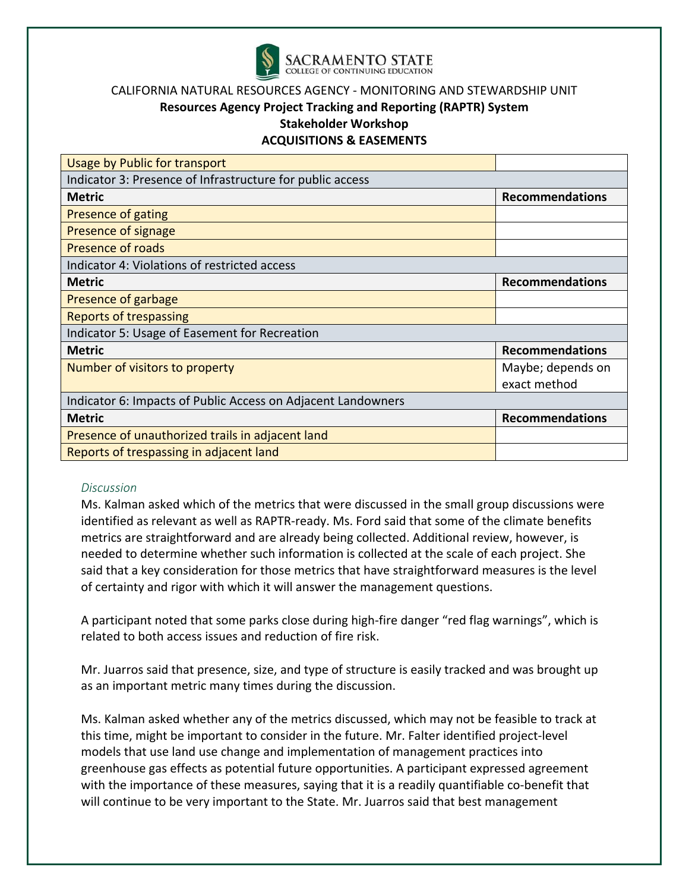

# **Resources Agency Project Tracking and Reporting (RAPTR) System**

**Stakeholder Workshop** 

#### **ACQUISITIONS & EASEMENTS**

| <b>Usage by Public for transport</b>                         |                        |  |  |  |  |  |  |  |
|--------------------------------------------------------------|------------------------|--|--|--|--|--|--|--|
| Indicator 3: Presence of Infrastructure for public access    |                        |  |  |  |  |  |  |  |
| <b>Metric</b>                                                | <b>Recommendations</b> |  |  |  |  |  |  |  |
| Presence of gating                                           |                        |  |  |  |  |  |  |  |
| Presence of signage                                          |                        |  |  |  |  |  |  |  |
| <b>Presence of roads</b>                                     |                        |  |  |  |  |  |  |  |
| Indicator 4: Violations of restricted access                 |                        |  |  |  |  |  |  |  |
| <b>Metric</b>                                                | <b>Recommendations</b> |  |  |  |  |  |  |  |
| Presence of garbage                                          |                        |  |  |  |  |  |  |  |
| <b>Reports of trespassing</b>                                |                        |  |  |  |  |  |  |  |
| Indicator 5: Usage of Easement for Recreation                |                        |  |  |  |  |  |  |  |
| <b>Metric</b>                                                | <b>Recommendations</b> |  |  |  |  |  |  |  |
| Number of visitors to property                               | Maybe; depends on      |  |  |  |  |  |  |  |
|                                                              | exact method           |  |  |  |  |  |  |  |
| Indicator 6: Impacts of Public Access on Adjacent Landowners |                        |  |  |  |  |  |  |  |
| <b>Metric</b>                                                | <b>Recommendations</b> |  |  |  |  |  |  |  |
| Presence of unauthorized trails in adjacent land             |                        |  |  |  |  |  |  |  |
| Reports of trespassing in adjacent land                      |                        |  |  |  |  |  |  |  |

#### *Discussion*

Ms. Kalman asked which of the metrics that were discussed in the small group discussions were identified as relevant as well as RAPTR‐ready. Ms. Ford said that some of the climate benefits metrics are straightforward and are already being collected. Additional review, however, is needed to determine whether such information is collected at the scale of each project. She said that a key consideration for those metrics that have straightforward measures is the level of certainty and rigor with which it will answer the management questions.

A participant noted that some parks close during high‐fire danger "red flag warnings", which is related to both access issues and reduction of fire risk.

Mr. Juarros said that presence, size, and type of structure is easily tracked and was brought up as an important metric many times during the discussion.

Ms. Kalman asked whether any of the metrics discussed, which may not be feasible to track at this time, might be important to consider in the future. Mr. Falter identified project‐level models that use land use change and implementation of management practices into greenhouse gas effects as potential future opportunities. A participant expressed agreement with the importance of these measures, saying that it is a readily quantifiable co-benefit that will continue to be very important to the State. Mr. Juarros said that best management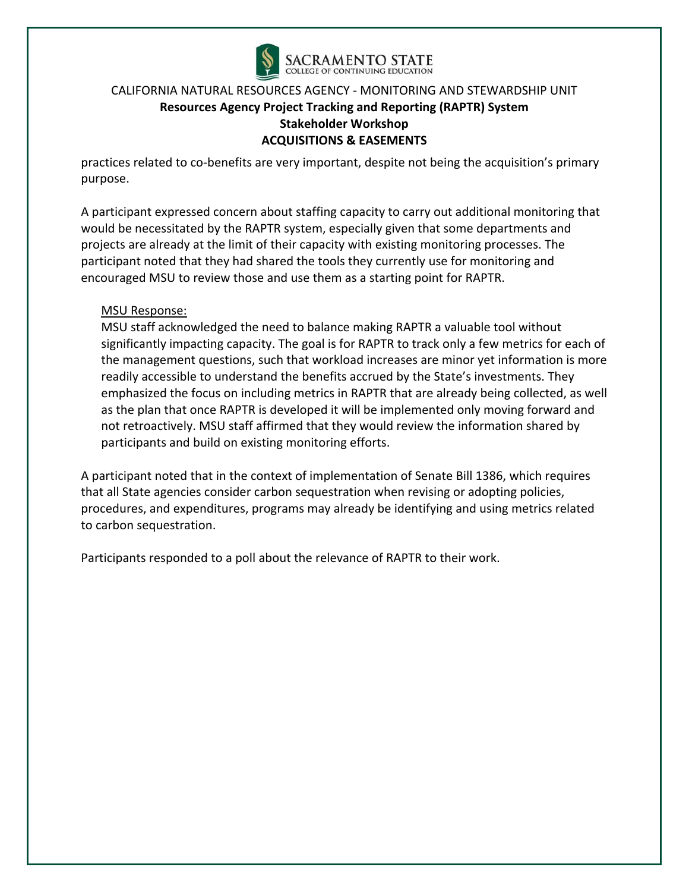

practices related to co‐benefits are very important, despite not being the acquisition's primary purpose.

A participant expressed concern about staffing capacity to carry out additional monitoring that would be necessitated by the RAPTR system, especially given that some departments and projects are already at the limit of their capacity with existing monitoring processes. The participant noted that they had shared the tools they currently use for monitoring and encouraged MSU to review those and use them as a starting point for RAPTR.

## MSU Response:

MSU staff acknowledged the need to balance making RAPTR a valuable tool without significantly impacting capacity. The goal is for RAPTR to track only a few metrics for each of the management questions, such that workload increases are minor yet information is more readily accessible to understand the benefits accrued by the State's investments. They emphasized the focus on including metrics in RAPTR that are already being collected, as well as the plan that once RAPTR is developed it will be implemented only moving forward and not retroactively. MSU staff affirmed that they would review the information shared by participants and build on existing monitoring efforts.

A participant noted that in the context of implementation of Senate Bill 1386, which requires that all State agencies consider carbon sequestration when revising or adopting policies, procedures, and expenditures, programs may already be identifying and using metrics related to carbon sequestration.

Participants responded to a poll about the relevance of RAPTR to their work.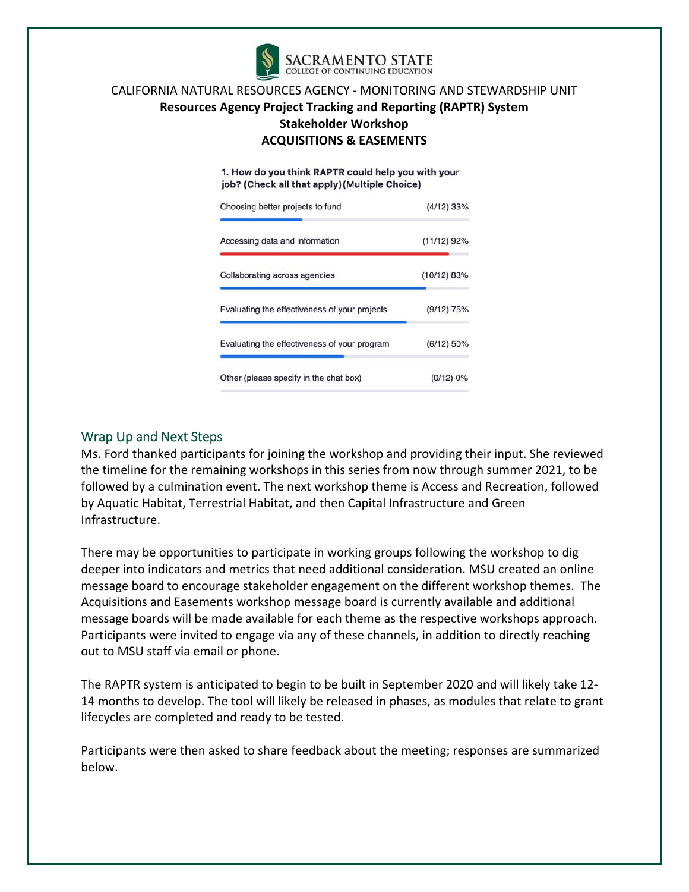

1. How do you think RAPTR could help you with your job? (Check all that apply) (Multiple Choice)

| Choosing better projects to fund              | $(4/12)$ 33%  |
|-----------------------------------------------|---------------|
| Accessing data and information                | $(11/12)$ 92% |
| Collaborating across agencies                 | (10/12) 83%   |
| Evaluating the effectiveness of your projects | $(9/12)$ 75%  |
| Evaluating the effectiveness of your program  | $(6/12)$ 50%  |
| Other (please specify in the chat box)        | (0/12) 0%     |

## Wrap Up and Next Steps

Ms. Ford thanked participants for joining the workshop and providing their input. She reviewed the timeline for the remaining workshops in this series from now through summer 2021, to be followed by a culmination event. The next workshop theme is Access and Recreation, followed by Aquatic Habitat, Terrestrial Habitat, and then Capital Infrastructure and Green Infrastructure.

There may be opportunities to participate in working groups following the workshop to dig deeper into indicators and metrics that need additional consideration. MSU created an online message board to encourage stakeholder engagement on the different workshop themes. The Acquisitions and Easements workshop message board is currently available and additional message boards will be made available for each theme as the respective workshops approach. Participants were invited to engage via any of these channels, in addition to directly reaching out to MSU staff via email or phone.

The RAPTR system is anticipated to begin to be built in September 2020 and will likely take 12‐ 14 months to develop. The tool will likely be released in phases, as modules that relate to grant lifecycles are completed and ready to be tested.

Participants were then asked to share feedback about the meeting; responses are summarized below.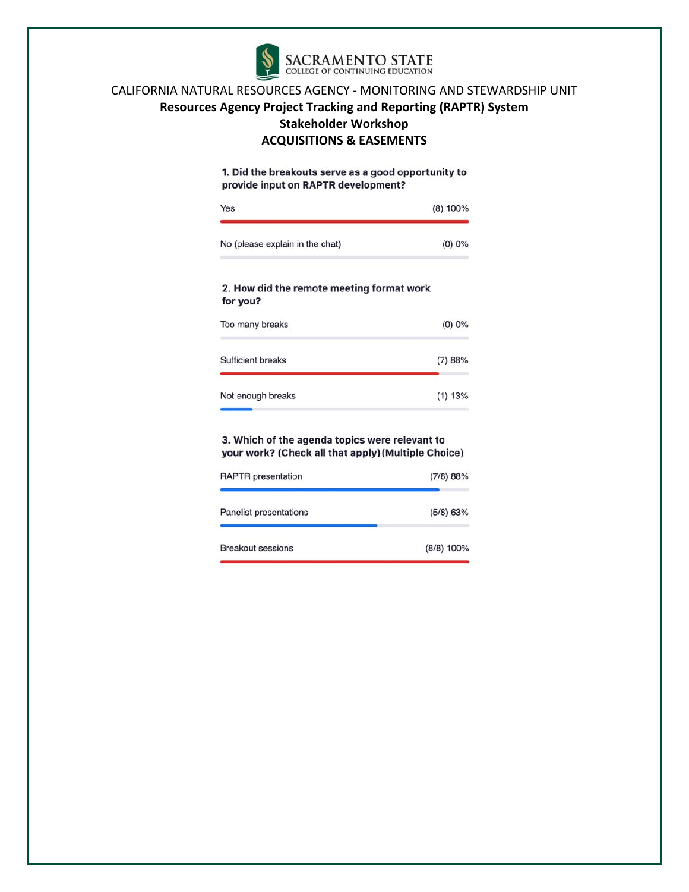

1. Did the breakouts serve as a good opportunity to provide input on RAPTR development?

| Yes                                                   | $(8)$ 100% |
|-------------------------------------------------------|------------|
| No (please explain in the chat)                       | $(0)$ 0%   |
| 2. How did the remote meeting format work<br>for you? |            |
| Too many breaks                                       | (0) 0%     |
| <b>Sufficient breaks</b>                              | (7)88%     |
| Not enough breaks                                     | (1)13%     |

#### 3. Which of the agenda topics were relevant to your work? (Check all that apply) (Multiple Choice)

| <b>RAPTR</b> presentation | (7/8) 88%   |
|---------------------------|-------------|
| Panelist presentations    | $(5/8)$ 63% |
| <b>Breakout sessions</b>  | (8/8) 100%  |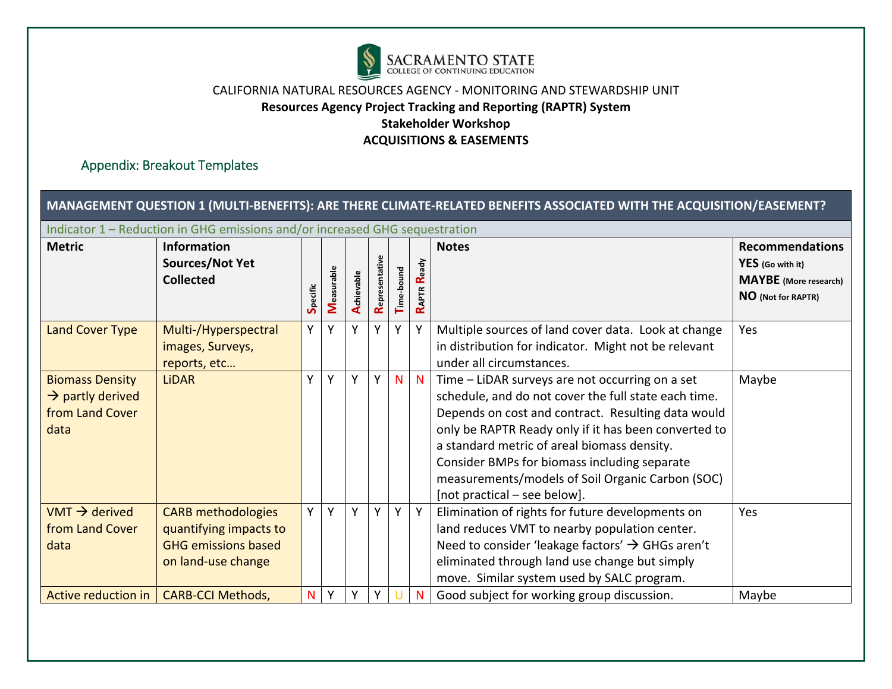

# Appendix: Breakout Templates

| MANAGEMENT QUESTION 1 (MULTI-BENEFITS): ARE THERE CLIMATE-RELATED BENEFITS ASSOCIATED WITH THE ACQUISITION/EASEMENT? |                                                                                                         |          |            |            |                |            |                |                                                                                                                                                                                                                                                                                                                                                                                                          |                                                                                                  |
|----------------------------------------------------------------------------------------------------------------------|---------------------------------------------------------------------------------------------------------|----------|------------|------------|----------------|------------|----------------|----------------------------------------------------------------------------------------------------------------------------------------------------------------------------------------------------------------------------------------------------------------------------------------------------------------------------------------------------------------------------------------------------------|--------------------------------------------------------------------------------------------------|
| Indicator 1 – Reduction in GHG emissions and/or increased GHG sequestration                                          |                                                                                                         |          |            |            |                |            |                |                                                                                                                                                                                                                                                                                                                                                                                                          |                                                                                                  |
| <b>Metric</b>                                                                                                        | <b>Information</b><br><b>Sources/Not Yet</b><br><b>Collected</b>                                        | Specific | Measurable | Achievable | Representative | Time-bound | Ready<br>RAPTR | <b>Notes</b>                                                                                                                                                                                                                                                                                                                                                                                             | <b>Recommendations</b><br>YES (Go with it)<br><b>MAYBE</b> (More research)<br>NO (Not for RAPTR) |
| <b>Land Cover Type</b>                                                                                               | Multi-/Hyperspectral<br>images, Surveys,<br>reports, etc                                                | Y        | Y          | Y          | Y              | Y          |                | Multiple sources of land cover data. Look at change<br>in distribution for indicator. Might not be relevant<br>under all circumstances.                                                                                                                                                                                                                                                                  | Yes                                                                                              |
| <b>Biomass Density</b><br>$\rightarrow$ partly derived<br>from Land Cover<br>data                                    | <b>LiDAR</b>                                                                                            | Y        | Υ          | Y          | Y              | N          | N              | Time - LiDAR surveys are not occurring on a set<br>schedule, and do not cover the full state each time.<br>Depends on cost and contract. Resulting data would<br>only be RAPTR Ready only if it has been converted to<br>a standard metric of areal biomass density.<br>Consider BMPs for biomass including separate<br>measurements/models of Soil Organic Carbon (SOC)<br>[not practical - see below]. | Maybe                                                                                            |
| $VMT \rightarrow$ derived<br>from Land Cover<br>data                                                                 | <b>CARB</b> methodologies<br>quantifying impacts to<br><b>GHG emissions based</b><br>on land-use change | Y        | Υ          | Y          | Υ              | Y          | Y              | Elimination of rights for future developments on<br>land reduces VMT to nearby population center.<br>Need to consider 'leakage factors' $\rightarrow$ GHGs aren't<br>eliminated through land use change but simply<br>move. Similar system used by SALC program.                                                                                                                                         | Yes                                                                                              |
| Active reduction in                                                                                                  | <b>CARB-CCI Methods,</b>                                                                                | N        | γ          | γ          |                |            | N              | Good subject for working group discussion.                                                                                                                                                                                                                                                                                                                                                               | Maybe                                                                                            |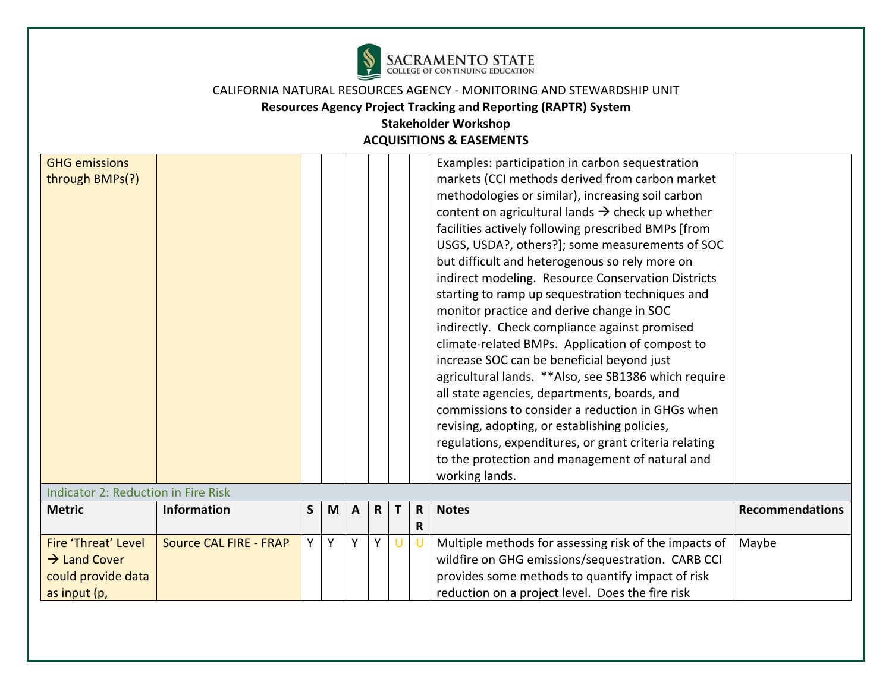

| <b>GHG emissions</b><br>through BMPs(?)<br><b>Indicator 2: Reduction in Fire Risk</b> |                               |    |   |   |   |        |                   | Examples: participation in carbon sequestration<br>markets (CCI methods derived from carbon market<br>methodologies or similar), increasing soil carbon<br>content on agricultural lands $\rightarrow$ check up whether<br>facilities actively following prescribed BMPs [from<br>USGS, USDA?, others?]; some measurements of SOC<br>but difficult and heterogenous so rely more on<br>indirect modeling. Resource Conservation Districts<br>starting to ramp up sequestration techniques and<br>monitor practice and derive change in SOC<br>indirectly. Check compliance against promised<br>climate-related BMPs. Application of compost to<br>increase SOC can be beneficial beyond just<br>agricultural lands. ** Also, see SB1386 which require<br>all state agencies, departments, boards, and<br>commissions to consider a reduction in GHGs when<br>revising, adopting, or establishing policies,<br>regulations, expenditures, or grant criteria relating<br>to the protection and management of natural and<br>working lands. |                        |
|---------------------------------------------------------------------------------------|-------------------------------|----|---|---|---|--------|-------------------|------------------------------------------------------------------------------------------------------------------------------------------------------------------------------------------------------------------------------------------------------------------------------------------------------------------------------------------------------------------------------------------------------------------------------------------------------------------------------------------------------------------------------------------------------------------------------------------------------------------------------------------------------------------------------------------------------------------------------------------------------------------------------------------------------------------------------------------------------------------------------------------------------------------------------------------------------------------------------------------------------------------------------------------|------------------------|
| <b>Metric</b>                                                                         | <b>Information</b>            | S  | M | A | R | Т      | $\mathsf{R}$<br>R | <b>Notes</b>                                                                                                                                                                                                                                                                                                                                                                                                                                                                                                                                                                                                                                                                                                                                                                                                                                                                                                                                                                                                                             | <b>Recommendations</b> |
| Fire 'Threat' Level<br>$\rightarrow$ Land Cover<br>could provide data<br>as input (p, | <b>Source CAL FIRE - FRAP</b> | Y. | Y | Y | Y | $\cup$ |                   | Multiple methods for assessing risk of the impacts of<br>wildfire on GHG emissions/sequestration. CARB CCI<br>provides some methods to quantify impact of risk<br>reduction on a project level. Does the fire risk                                                                                                                                                                                                                                                                                                                                                                                                                                                                                                                                                                                                                                                                                                                                                                                                                       | Maybe                  |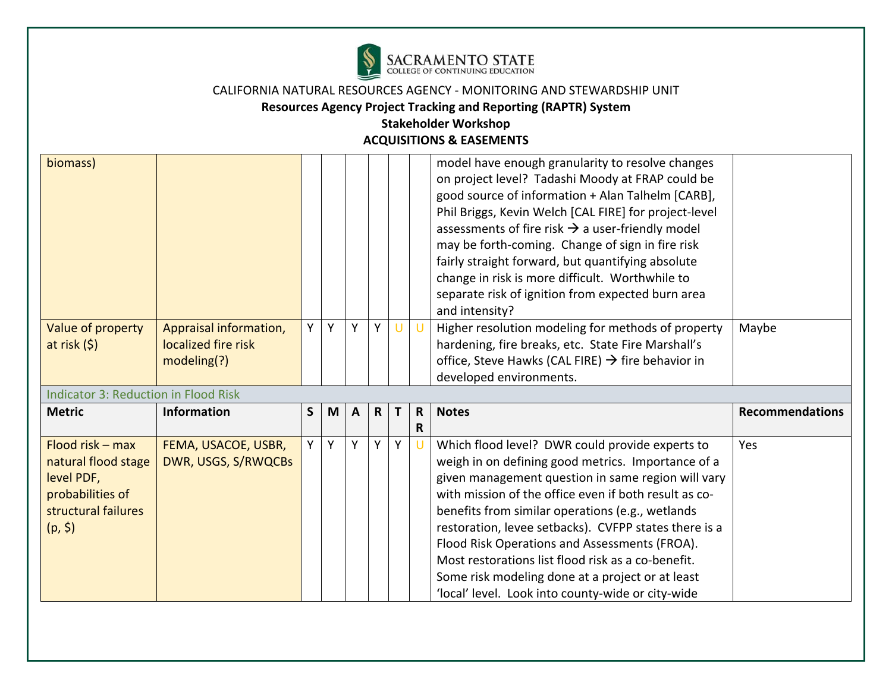

# **Resources Agency Project Tracking and Reporting (RAPTR) System**

| biomass)                                                                                                      |                                                              |              |   |              |   |        |                   | model have enough granularity to resolve changes<br>on project level? Tadashi Moody at FRAP could be<br>good source of information + Alan Talhelm [CARB],<br>Phil Briggs, Kevin Welch [CAL FIRE] for project-level<br>assessments of fire risk $\rightarrow$ a user-friendly model<br>may be forth-coming. Change of sign in fire risk<br>fairly straight forward, but quantifying absolute<br>change in risk is more difficult. Worthwhile to<br>separate risk of ignition from expected burn area<br>and intensity?                             |                        |
|---------------------------------------------------------------------------------------------------------------|--------------------------------------------------------------|--------------|---|--------------|---|--------|-------------------|---------------------------------------------------------------------------------------------------------------------------------------------------------------------------------------------------------------------------------------------------------------------------------------------------------------------------------------------------------------------------------------------------------------------------------------------------------------------------------------------------------------------------------------------------|------------------------|
| Value of property<br>at risk $(5)$                                                                            | Appraisal information,<br>localized fire risk<br>modeling(?) | Y            | Y | Y            | Y | $\cup$ | $\cup$            | Higher resolution modeling for methods of property<br>hardening, fire breaks, etc. State Fire Marshall's<br>office, Steve Hawks (CAL FIRE) $\rightarrow$ fire behavior in<br>developed environments.                                                                                                                                                                                                                                                                                                                                              | Maybe                  |
| <b>Indicator 3: Reduction in Flood Risk</b>                                                                   |                                                              |              |   |              |   |        |                   |                                                                                                                                                                                                                                                                                                                                                                                                                                                                                                                                                   |                        |
| <b>Metric</b>                                                                                                 | <b>Information</b>                                           | $\mathsf{S}$ | M | $\mathbf{A}$ | R | Τ      | $\mathsf{R}$<br>R | <b>Notes</b>                                                                                                                                                                                                                                                                                                                                                                                                                                                                                                                                      | <b>Recommendations</b> |
| Flood risk $-$ max<br>natural flood stage<br>level PDF,<br>probabilities of<br>structural failures<br>(p, \$) | FEMA, USACOE, USBR,<br>DWR, USGS, S/RWQCBs                   | Y            | Y | Y            | Y | Y      | U                 | Which flood level? DWR could provide experts to<br>weigh in on defining good metrics. Importance of a<br>given management question in same region will vary<br>with mission of the office even if both result as co-<br>benefits from similar operations (e.g., wetlands<br>restoration, levee setbacks). CVFPP states there is a<br>Flood Risk Operations and Assessments (FROA).<br>Most restorations list flood risk as a co-benefit.<br>Some risk modeling done at a project or at least<br>'local' level. Look into county-wide or city-wide | Yes                    |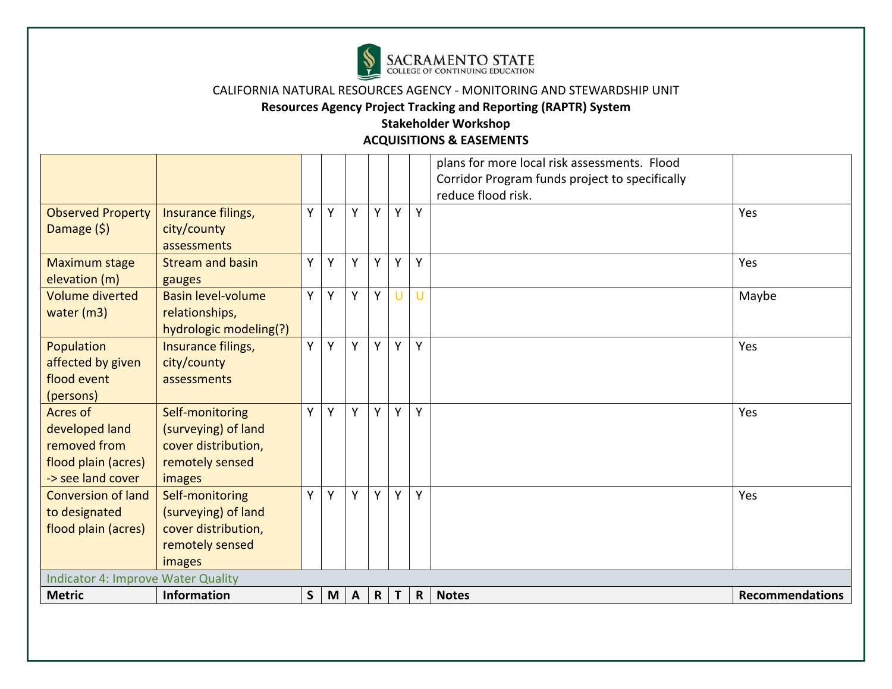

# **Resources Agency Project Tracking and Reporting (RAPTR) System**

|                                                                                        |                                                                                            |              |   |              |              |              |              | plans for more local risk assessments. Flood<br>Corridor Program funds project to specifically<br>reduce flood risk. |                        |
|----------------------------------------------------------------------------------------|--------------------------------------------------------------------------------------------|--------------|---|--------------|--------------|--------------|--------------|----------------------------------------------------------------------------------------------------------------------|------------------------|
| <b>Observed Property</b><br>Damage $(5)$                                               | Insurance filings,<br>city/county<br>assessments                                           | Y            | Y | Y            | Y            | Y            | Y            |                                                                                                                      | Yes                    |
| Maximum stage<br>elevation (m)                                                         | <b>Stream and basin</b><br>gauges                                                          | Y            | Y | Y            | Y            | Y            | Y            |                                                                                                                      | Yes                    |
| <b>Volume diverted</b><br>water (m3)                                                   | <b>Basin level-volume</b><br>relationships,<br>hydrologic modeling(?)                      | Y            | Y | Y            | Y            | U            | U            |                                                                                                                      | Maybe                  |
| Population<br>affected by given<br>flood event<br>(persons)                            | Insurance filings,<br>city/county<br>assessments                                           | Y            | Y | Y            | Y            | Y            | Y            |                                                                                                                      | Yes                    |
| Acres of<br>developed land<br>removed from<br>flood plain (acres)<br>-> see land cover | Self-monitoring<br>(surveying) of land<br>cover distribution,<br>remotely sensed<br>images | Y            | Y | Y            | Y            | Υ            | Y            |                                                                                                                      | Yes                    |
| <b>Conversion of land</b><br>to designated<br>flood plain (acres)                      | Self-monitoring<br>(surveying) of land<br>cover distribution,<br>remotely sensed<br>images | Y            | Y | Y            | Y            | Y            | Y            |                                                                                                                      | Yes                    |
| <b>Indicator 4: Improve Water Quality</b><br><b>Metric</b>                             | <b>Information</b>                                                                         | $\mathsf{S}$ | M | $\mathsf{A}$ | $\mathsf{R}$ | $\mathbf{T}$ | $\mathsf{R}$ | <b>Notes</b>                                                                                                         | <b>Recommendations</b> |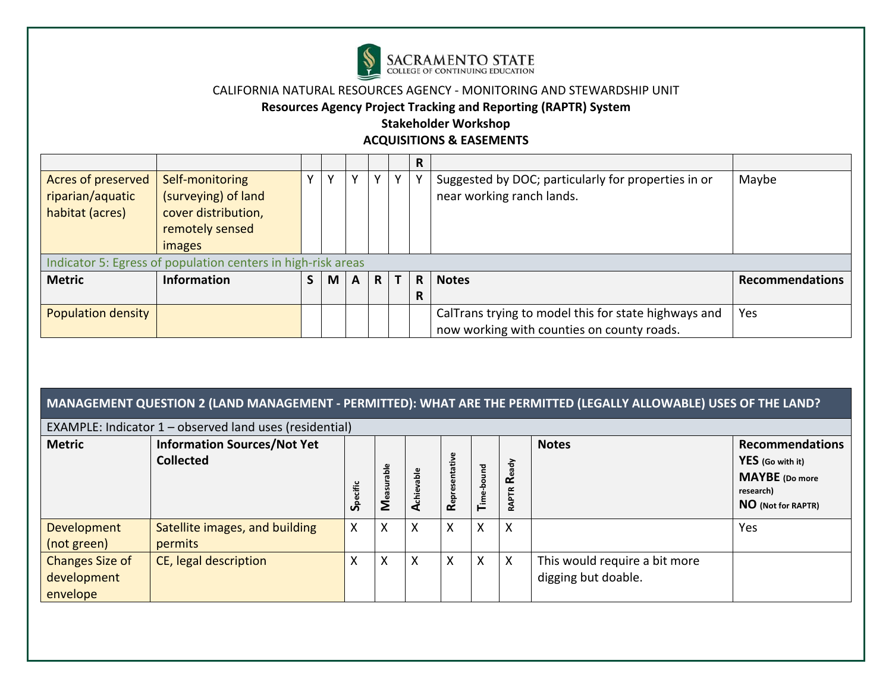

#### **Resources Agency Project Tracking and Reporting (RAPTR) System**

# **Stakeholder Workshop**

**ACQUISITIONS & EASEMENTS** 

|                           |                                                              |              |              |              |              |              | R  |                                                                                                    |                        |
|---------------------------|--------------------------------------------------------------|--------------|--------------|--------------|--------------|--------------|----|----------------------------------------------------------------------------------------------------|------------------------|
| Acres of preserved        | Self-monitoring                                              | $\mathbf{v}$ | $\mathsf{v}$ | v            | v            | $\mathbf v$  |    | Suggested by DOC; particularly for properties in or                                                | Maybe                  |
| riparian/aquatic          | (surveying) of land                                          |              |              |              |              |              |    | near working ranch lands.                                                                          |                        |
| habitat (acres)           | cover distribution,                                          |              |              |              |              |              |    |                                                                                                    |                        |
|                           | remotely sensed                                              |              |              |              |              |              |    |                                                                                                    |                        |
|                           | images                                                       |              |              |              |              |              |    |                                                                                                    |                        |
|                           | Indicator 5: Egress of population centers in high-risk areas |              |              |              |              |              |    |                                                                                                    |                        |
| <b>Metric</b>             | <b>Information</b>                                           | S.           | M            | $\mathsf{A}$ | $\mathsf{R}$ | $\mathbf{T}$ | R. | <b>Notes</b>                                                                                       | <b>Recommendations</b> |
|                           |                                                              |              |              |              |              |              | R  |                                                                                                    |                        |
| <b>Population density</b> |                                                              |              |              |              |              |              |    | CalTrans trying to model this for state highways and<br>now working with counties on county roads. | Yes                    |

# **MANAGEMENT QUESTION 2 (LAND MANAGEMENT ‐ PERMITTED): WHAT ARE THE PERMITTED (LEGALLY ALLOWABLE) USES OF THE LAND?**

| EXAMPLE: Indicator $1$ – observed land uses (residential) |                                                        |             |                  |              |                           |          |                      |                                                      |                                                                                                        |  |  |
|-----------------------------------------------------------|--------------------------------------------------------|-------------|------------------|--------------|---------------------------|----------|----------------------|------------------------------------------------------|--------------------------------------------------------------------------------------------------------|--|--|
| <b>Metric</b>                                             | <b>Information Sources/Not Yet</b><br><b>Collected</b> | tific<br>တိ | å<br><b>Neat</b> | ач<br>흉<br>⋖ | tative<br>Represent       | ъ<br>≖ُ⊦ | -ਛੇ<br>œ<br>FTR<br>ৱ | <b>Notes</b>                                         | <b>Recommendations</b><br>YES (Go with it)<br><b>MAYBE</b> (Do more<br>research)<br>NO (Not for RAPTR) |  |  |
| Development<br>(not green)                                | Satellite images, and building<br>permits              | X           | ∧                | X            | v<br>$\lambda$            | X        | X                    |                                                      | Yes                                                                                                    |  |  |
| <b>Changes Size of</b><br>development<br>envelope         | CE, legal description                                  | X           | v                | X            | $\checkmark$<br>$\lambda$ | X        | X                    | This would require a bit more<br>digging but doable. |                                                                                                        |  |  |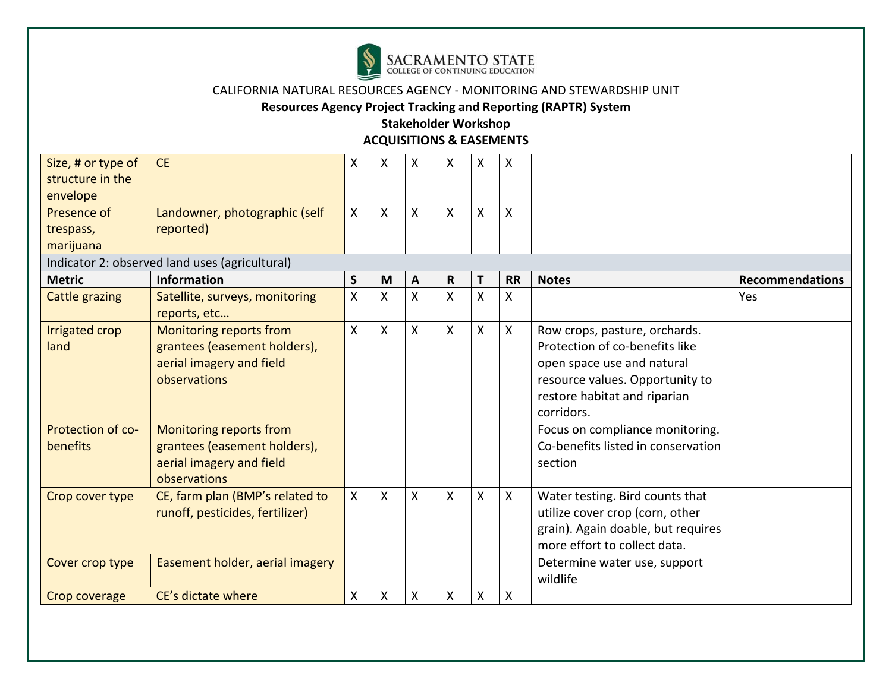

**Resources Agency Project Tracking and Reporting (RAPTR) System** 

| Size, # or type of<br>structure in the            | <b>CE</b>                                                                                           | X            | X | X            | X            | X            | X            |                                                                                                                                                                                |                        |
|---------------------------------------------------|-----------------------------------------------------------------------------------------------------|--------------|---|--------------|--------------|--------------|--------------|--------------------------------------------------------------------------------------------------------------------------------------------------------------------------------|------------------------|
| envelope<br>Presence of<br>trespass,<br>marijuana | Landowner, photographic (self<br>reported)                                                          | $\mathsf{X}$ | X | X            | X            | X            | X            |                                                                                                                                                                                |                        |
|                                                   | Indicator 2: observed land uses (agricultural)                                                      |              |   |              |              |              |              |                                                                                                                                                                                |                        |
| <b>Metric</b>                                     | <b>Information</b>                                                                                  | $\mathsf S$  | M | A            | $\mathbf R$  | T            | <b>RR</b>    | <b>Notes</b>                                                                                                                                                                   | <b>Recommendations</b> |
| <b>Cattle grazing</b>                             | Satellite, surveys, monitoring<br>reports, etc                                                      | $\sf X$      | Χ | Χ            | Χ            | $\sf X$      | X            |                                                                                                                                                                                | Yes                    |
| Irrigated crop<br>land                            | Monitoring reports from<br>grantees (easement holders),<br>aerial imagery and field<br>observations | X            | X | $\mathsf{X}$ | $\mathsf{X}$ | $\mathsf{X}$ | $\mathsf{X}$ | Row crops, pasture, orchards.<br>Protection of co-benefits like<br>open space use and natural<br>resource values. Opportunity to<br>restore habitat and riparian<br>corridors. |                        |
| Protection of co-<br>benefits                     | Monitoring reports from<br>grantees (easement holders),<br>aerial imagery and field<br>observations |              |   |              |              |              |              | Focus on compliance monitoring.<br>Co-benefits listed in conservation<br>section                                                                                               |                        |
| Crop cover type                                   | CE, farm plan (BMP's related to<br>runoff, pesticides, fertilizer)                                  | $\mathsf{X}$ | X | X            | X            | $\mathsf{X}$ | $\mathsf{X}$ | Water testing. Bird counts that<br>utilize cover crop (corn, other<br>grain). Again doable, but requires<br>more effort to collect data.                                       |                        |
| Cover crop type                                   | Easement holder, aerial imagery                                                                     |              |   |              |              |              |              | Determine water use, support<br>wildlife                                                                                                                                       |                        |
| Crop coverage                                     | CE's dictate where                                                                                  | X            | X | X            | X            | X            | X            |                                                                                                                                                                                |                        |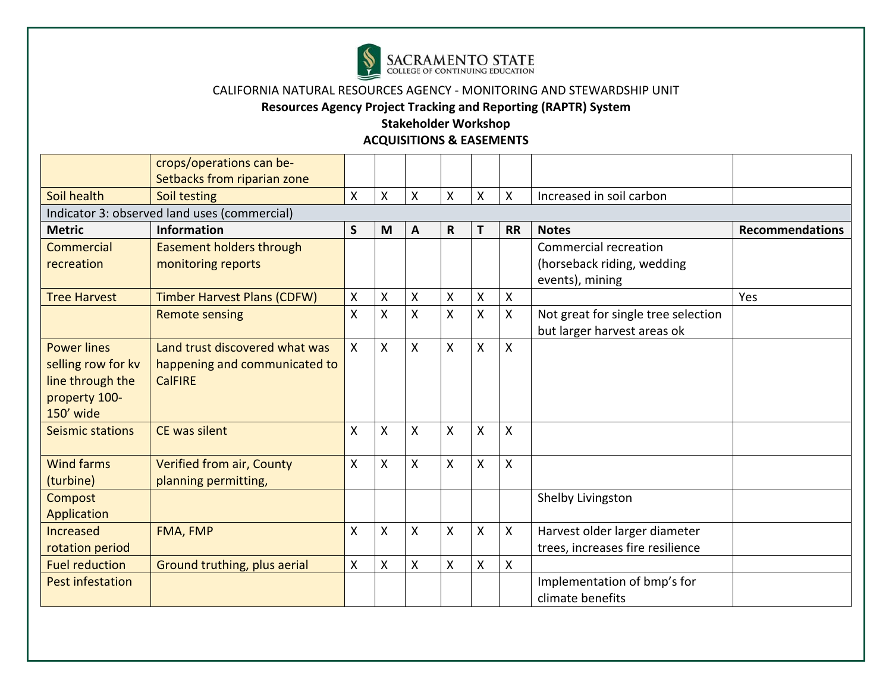

**Resources Agency Project Tracking and Reporting (RAPTR) System** 

|                                                                                            | crops/operations can be-<br>Setbacks from riparian zone                           |         |   |                    |              |                    |           |                                                                               |                        |
|--------------------------------------------------------------------------------------------|-----------------------------------------------------------------------------------|---------|---|--------------------|--------------|--------------------|-----------|-------------------------------------------------------------------------------|------------------------|
| Soil health                                                                                | Soil testing                                                                      | X       | Χ | X                  | X            | X                  | Χ         | Increased in soil carbon                                                      |                        |
|                                                                                            | Indicator 3: observed land uses (commercial)                                      |         |   |                    |              |                    |           |                                                                               |                        |
| <b>Metric</b>                                                                              | <b>Information</b>                                                                | S       | M | A                  | $\mathsf{R}$ | Τ                  | <b>RR</b> | <b>Notes</b>                                                                  | <b>Recommendations</b> |
| Commercial<br>recreation                                                                   | <b>Easement holders through</b><br>monitoring reports                             |         |   |                    |              |                    |           | <b>Commercial recreation</b><br>(horseback riding, wedding<br>events), mining |                        |
| <b>Tree Harvest</b>                                                                        | <b>Timber Harvest Plans (CDFW)</b>                                                | Χ       | Χ | X                  | X            | X                  | Χ         |                                                                               | Yes                    |
|                                                                                            | <b>Remote sensing</b>                                                             | $\sf X$ | Χ | X                  | X            | $\pmb{\mathsf{X}}$ | X         | Not great for single tree selection<br>but larger harvest areas ok            |                        |
| <b>Power lines</b><br>selling row for kv<br>line through the<br>property 100-<br>150' wide | Land trust discovered what was<br>happening and communicated to<br><b>CalFIRE</b> | X       | Χ | X                  | X            | $\sf X$            | X         |                                                                               |                        |
| <b>Seismic stations</b>                                                                    | <b>CE was silent</b>                                                              | X       | X | X                  | X            | $\sf X$            | X         |                                                                               |                        |
| <b>Wind farms</b><br>(turbine)                                                             | <b>Verified from air, County</b><br>planning permitting,                          | X       | Χ | Χ                  | X            | $\sf X$            | X         |                                                                               |                        |
| <b>Compost</b><br>Application                                                              |                                                                                   |         |   |                    |              |                    |           | Shelby Livingston                                                             |                        |
| Increased<br>rotation period                                                               | FMA, FMP                                                                          | X       | Χ | $\pmb{\mathsf{X}}$ | Χ            | X                  | Χ         | Harvest older larger diameter<br>trees, increases fire resilience             |                        |
| <b>Fuel reduction</b>                                                                      | Ground truthing, plus aerial                                                      | χ       | Χ | X                  | X            | X                  | X         |                                                                               |                        |
| <b>Pest infestation</b>                                                                    |                                                                                   |         |   |                    |              |                    |           | Implementation of bmp's for<br>climate benefits                               |                        |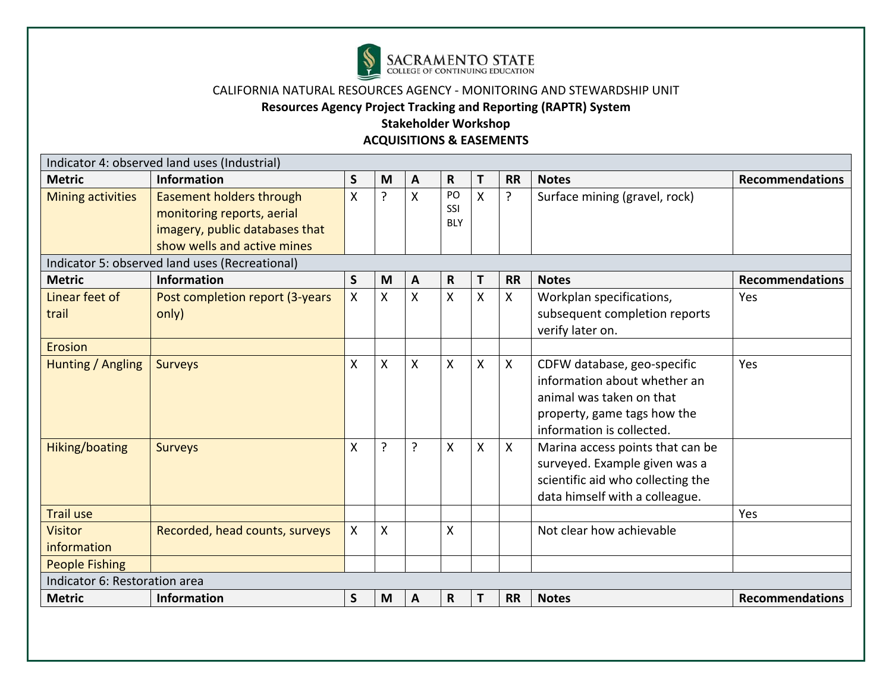

**Resources Agency Project Tracking and Reporting (RAPTR) System** 

|                               | Indicator 4: observed land uses (Industrial)                                                                            |              |                           |              |                         |              |                           |                                                                                                                                                     |                        |
|-------------------------------|-------------------------------------------------------------------------------------------------------------------------|--------------|---------------------------|--------------|-------------------------|--------------|---------------------------|-----------------------------------------------------------------------------------------------------------------------------------------------------|------------------------|
| <b>Metric</b>                 | <b>Information</b>                                                                                                      | S            | M                         | A            | R                       | Т            | <b>RR</b>                 | <b>Notes</b>                                                                                                                                        | <b>Recommendations</b> |
| <b>Mining activities</b>      | Easement holders through<br>monitoring reports, aerial<br>imagery, public databases that<br>show wells and active mines | X            | <sub>?</sub>              | $\mathsf{x}$ | PO<br>SSI<br><b>BLY</b> | $\mathsf{X}$ | ?                         | Surface mining (gravel, rock)                                                                                                                       |                        |
|                               | Indicator 5: observed land uses (Recreational)                                                                          |              |                           |              |                         |              |                           |                                                                                                                                                     |                        |
| <b>Metric</b>                 | <b>Information</b>                                                                                                      | $\mathsf{S}$ | M                         | A            | $\mathsf{R}$            | T            | <b>RR</b>                 | <b>Notes</b>                                                                                                                                        | <b>Recommendations</b> |
| Linear feet of<br>trail       | Post completion report (3-years<br>only)                                                                                | X.           | X                         | X            | X                       | X            | X                         | Workplan specifications,<br>subsequent completion reports<br>verify later on.                                                                       | Yes                    |
| <b>Erosion</b>                |                                                                                                                         |              |                           |              |                         |              |                           |                                                                                                                                                     |                        |
| Hunting / Angling             | <b>Surveys</b>                                                                                                          | X            | X                         | X            | X                       | X            | Χ                         | CDFW database, geo-specific<br>information about whether an<br>animal was taken on that<br>property, game tags how the<br>information is collected. | Yes                    |
| Hiking/boating                | <b>Surveys</b>                                                                                                          | χ            | ?                         | ?            | X                       | $\mathsf{X}$ | $\boldsymbol{\mathsf{X}}$ | Marina access points that can be<br>surveyed. Example given was a<br>scientific aid who collecting the<br>data himself with a colleague.            |                        |
| <b>Trail use</b>              |                                                                                                                         |              |                           |              |                         |              |                           |                                                                                                                                                     | Yes                    |
| <b>Visitor</b><br>information | Recorded, head counts, surveys                                                                                          | Χ            | $\boldsymbol{\mathsf{X}}$ |              | X                       |              |                           | Not clear how achievable                                                                                                                            |                        |
| <b>People Fishing</b>         |                                                                                                                         |              |                           |              |                         |              |                           |                                                                                                                                                     |                        |
| Indicator 6: Restoration area |                                                                                                                         |              |                           |              |                         |              |                           |                                                                                                                                                     |                        |
| <b>Metric</b>                 | <b>Information</b>                                                                                                      | $\mathsf{S}$ | M                         | A            | $\mathsf{R}$            |              | <b>RR</b>                 | <b>Notes</b>                                                                                                                                        | <b>Recommendations</b> |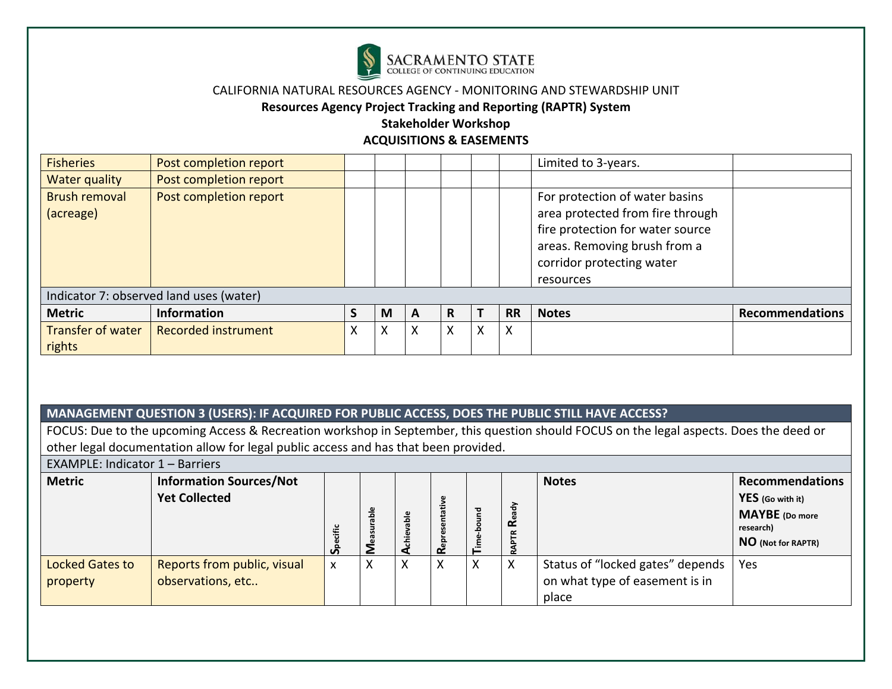

#### **Resources Agency Project Tracking and Reporting (RAPTR) System**

#### **Stakeholder Workshop ACQUISITIONS & EASEMENTS**

| <b>Fisheries</b>                  | Post completion report                  |   |         |   |   |   |           | Limited to 3-years.                                                                                                                                                              |                        |
|-----------------------------------|-----------------------------------------|---|---------|---|---|---|-----------|----------------------------------------------------------------------------------------------------------------------------------------------------------------------------------|------------------------|
| Water quality                     | Post completion report                  |   |         |   |   |   |           |                                                                                                                                                                                  |                        |
| <b>Brush removal</b><br>(acreage) | Post completion report                  |   |         |   |   |   |           | For protection of water basins<br>area protected from fire through<br>fire protection for water source<br>areas. Removing brush from a<br>corridor protecting water<br>resources |                        |
|                                   | Indicator 7: observed land uses (water) |   |         |   |   |   |           |                                                                                                                                                                                  |                        |
| <b>Metric</b>                     | <b>Information</b>                      | S | M       | A | R |   | <b>RR</b> | <b>Notes</b>                                                                                                                                                                     | <b>Recommendations</b> |
| Transfer of water<br>rights       | <b>Recorded instrument</b>              | Χ | v<br>v. | X | X | X | X         |                                                                                                                                                                                  |                        |

## **MANAGEMENT QUESTION 3 (USERS): IF ACQUIRED FOR PUBLIC ACCESS, DOES THE PUBLIC STILL HAVE ACCESS?**

FOCUS: Due to the upcoming Access & Recreation workshop in September, this question should FOCUS on the legal aspects. Does the deed or other legal documentation allow for legal public access and has that been provided.

EXAMPLE: Indicator 1 – Barriers

| <b>Metric</b>               | <b>Information Sources/Not</b><br><b>Yet Collected</b> | u | ω<br>흚<br>ន្ល | able | œ | 꾿<br>c | ਠੇ<br>ã<br>œ<br>$\alpha$<br>œ | <b>Notes</b>                                                                | <b>Recommendations</b><br>YES (Go with it)<br><b>MAYBE</b> (Do more<br>research)<br>NO (Not for RAPTR) |
|-----------------------------|--------------------------------------------------------|---|---------------|------|---|--------|-------------------------------|-----------------------------------------------------------------------------|--------------------------------------------------------------------------------------------------------|
| Locked Gates to<br>property | Reports from public, visual<br>observations, etc       | X | X             | X    | X | X      | X                             | Status of "locked gates" depends<br>on what type of easement is in<br>place | Yes                                                                                                    |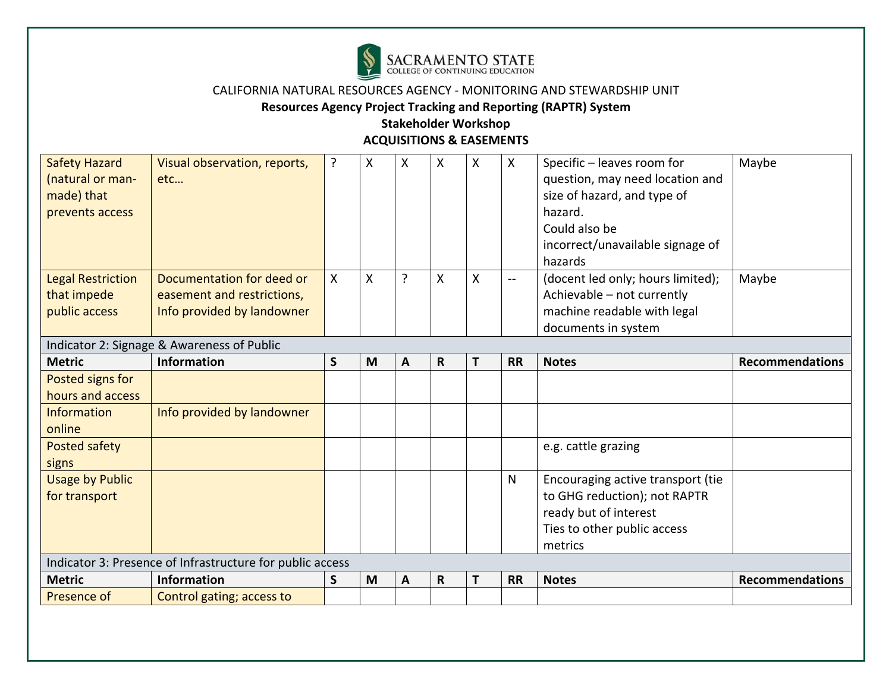

## **Resources Agency Project Tracking and Reporting (RAPTR) System**

| <b>Safety Hazard</b>     | Visual observation, reports,                              | ? | X | X | X           | X | $\mathsf{X}$ | Specific - leaves room for        | Maybe                  |
|--------------------------|-----------------------------------------------------------|---|---|---|-------------|---|--------------|-----------------------------------|------------------------|
| (natural or man-         | etc                                                       |   |   |   |             |   |              | question, may need location and   |                        |
| made) that               |                                                           |   |   |   |             |   |              | size of hazard, and type of       |                        |
| prevents access          |                                                           |   |   |   |             |   |              | hazard.                           |                        |
|                          |                                                           |   |   |   |             |   |              | Could also be                     |                        |
|                          |                                                           |   |   |   |             |   |              | incorrect/unavailable signage of  |                        |
|                          |                                                           |   |   |   |             |   |              | hazards                           |                        |
| <b>Legal Restriction</b> | Documentation for deed or                                 | X | X | ? | Χ           | X | $-$          | (docent led only; hours limited); | Maybe                  |
| that impede              | easement and restrictions,                                |   |   |   |             |   |              | Achievable - not currently        |                        |
| public access            | Info provided by landowner                                |   |   |   |             |   |              | machine readable with legal       |                        |
|                          |                                                           |   |   |   |             |   |              | documents in system               |                        |
|                          | Indicator 2: Signage & Awareness of Public                |   |   |   |             |   |              |                                   |                        |
| <b>Metric</b>            | Information                                               | S | M | A | $\mathbf R$ | T | <b>RR</b>    | <b>Notes</b>                      | <b>Recommendations</b> |
| Posted signs for         |                                                           |   |   |   |             |   |              |                                   |                        |
| hours and access         |                                                           |   |   |   |             |   |              |                                   |                        |
| <b>Information</b>       | Info provided by landowner                                |   |   |   |             |   |              |                                   |                        |
| online                   |                                                           |   |   |   |             |   |              |                                   |                        |
| Posted safety            |                                                           |   |   |   |             |   |              | e.g. cattle grazing               |                        |
| signs                    |                                                           |   |   |   |             |   |              |                                   |                        |
| <b>Usage by Public</b>   |                                                           |   |   |   |             |   | N            | Encouraging active transport (tie |                        |
| for transport            |                                                           |   |   |   |             |   |              | to GHG reduction); not RAPTR      |                        |
|                          |                                                           |   |   |   |             |   |              | ready but of interest             |                        |
|                          |                                                           |   |   |   |             |   |              | Ties to other public access       |                        |
|                          |                                                           |   |   |   |             |   |              | metrics                           |                        |
|                          | Indicator 3: Presence of Infrastructure for public access |   |   |   |             |   |              |                                   |                        |
| <b>Metric</b>            | <b>Information</b>                                        | S | M | A | $\mathbf R$ | T | <b>RR</b>    | <b>Notes</b>                      | <b>Recommendations</b> |
|                          |                                                           |   |   |   |             |   |              |                                   |                        |
| Presence of              | Control gating; access to                                 |   |   |   |             |   |              |                                   |                        |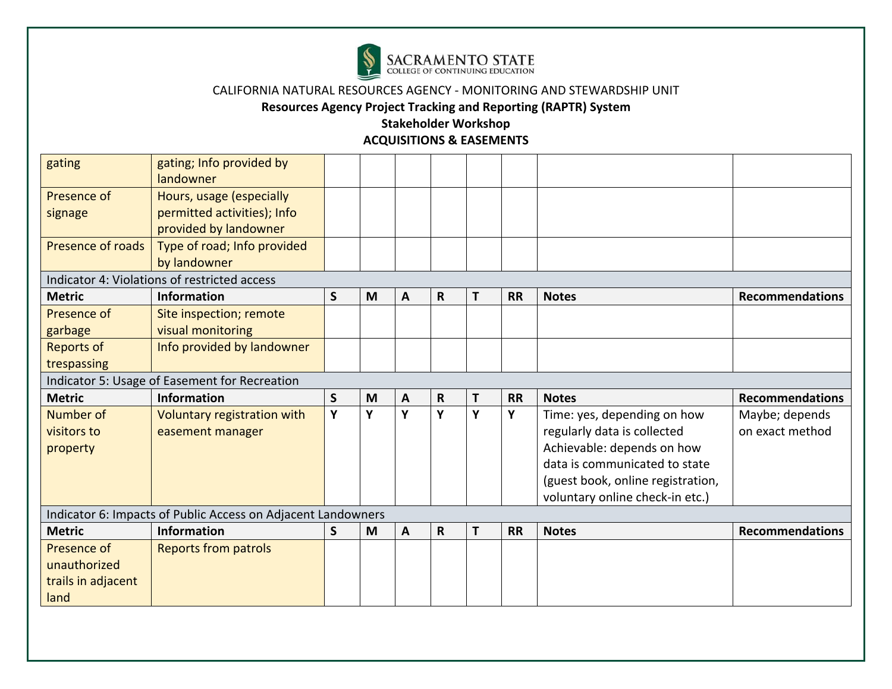

**Resources Agency Project Tracking and Reporting (RAPTR) System** 

| gating             | gating; Info provided by<br>landowner                        |   |   |              |              |   |           |                                   |                        |
|--------------------|--------------------------------------------------------------|---|---|--------------|--------------|---|-----------|-----------------------------------|------------------------|
| Presence of        | Hours, usage (especially                                     |   |   |              |              |   |           |                                   |                        |
| signage            | permitted activities); Info<br>provided by landowner         |   |   |              |              |   |           |                                   |                        |
| Presence of roads  | Type of road; Info provided<br>by landowner                  |   |   |              |              |   |           |                                   |                        |
|                    | Indicator 4: Violations of restricted access                 |   |   |              |              |   |           |                                   |                        |
| <b>Metric</b>      | Information                                                  | S | M | A            | R            | T | <b>RR</b> | <b>Notes</b>                      | <b>Recommendations</b> |
| Presence of        | Site inspection; remote                                      |   |   |              |              |   |           |                                   |                        |
| garbage            | visual monitoring                                            |   |   |              |              |   |           |                                   |                        |
| <b>Reports of</b>  | Info provided by landowner                                   |   |   |              |              |   |           |                                   |                        |
| trespassing        |                                                              |   |   |              |              |   |           |                                   |                        |
|                    | Indicator 5: Usage of Easement for Recreation                |   |   |              |              |   |           |                                   |                        |
| <b>Metric</b>      | <b>Information</b>                                           | S | M | A            | R            | Τ | <b>RR</b> | <b>Notes</b>                      | <b>Recommendations</b> |
| Number of          | Voluntary registration with                                  | Y | Υ | Y            | Y            | Υ | Y         | Time: yes, depending on how       | Maybe; depends         |
| visitors to        | easement manager                                             |   |   |              |              |   |           | regularly data is collected       | on exact method        |
| property           |                                                              |   |   |              |              |   |           | Achievable: depends on how        |                        |
|                    |                                                              |   |   |              |              |   |           | data is communicated to state     |                        |
|                    |                                                              |   |   |              |              |   |           | (guest book, online registration, |                        |
|                    |                                                              |   |   |              |              |   |           | voluntary online check-in etc.)   |                        |
|                    | Indicator 6: Impacts of Public Access on Adjacent Landowners |   |   |              |              |   |           |                                   |                        |
| <b>Metric</b>      | Information                                                  | S | M | $\mathbf{A}$ | $\mathsf{R}$ | T | <b>RR</b> | <b>Notes</b>                      | <b>Recommendations</b> |
| Presence of        | <b>Reports from patrols</b>                                  |   |   |              |              |   |           |                                   |                        |
| unauthorized       |                                                              |   |   |              |              |   |           |                                   |                        |
| trails in adjacent |                                                              |   |   |              |              |   |           |                                   |                        |
| land               |                                                              |   |   |              |              |   |           |                                   |                        |